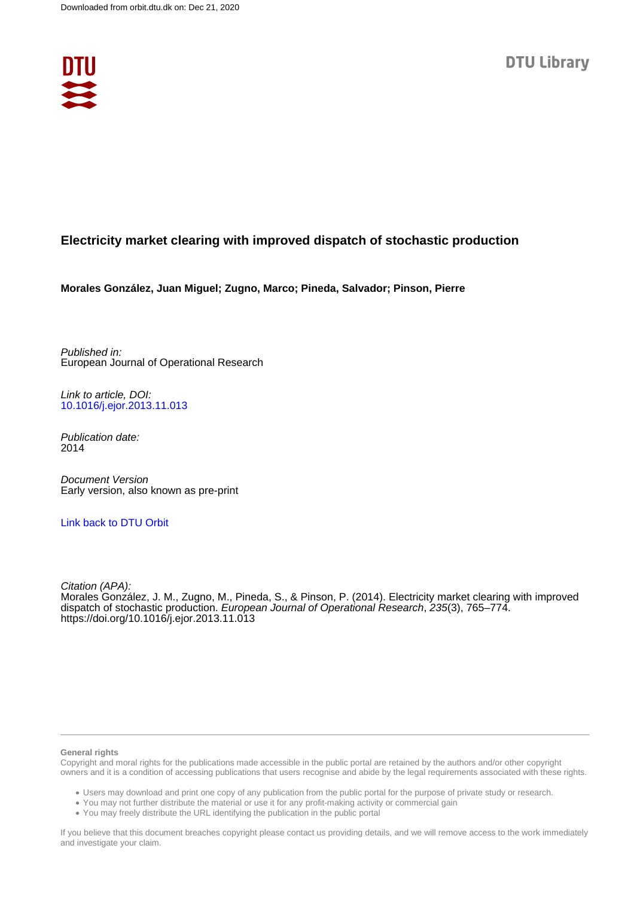

# **Electricity market clearing with improved dispatch of stochastic production**

**Morales González, Juan Miguel; Zugno, Marco; Pineda, Salvador; Pinson, Pierre**

Published in: European Journal of Operational Research

Link to article, DOI: [10.1016/j.ejor.2013.11.013](https://doi.org/10.1016/j.ejor.2013.11.013)

Publication date: 2014

Document Version Early version, also known as pre-print

[Link back to DTU Orbit](https://orbit.dtu.dk/en/publications/92652e79-1e0e-4f12-9fbd-6a3c2f2d4ece)

Citation (APA): Morales González, J. M., Zugno, M., Pineda, S., & Pinson, P. (2014). Electricity market clearing with improved dispatch of stochastic production. European Journal of Operational Research, 235(3), 765–774. <https://doi.org/10.1016/j.ejor.2013.11.013>

#### **General rights**

Copyright and moral rights for the publications made accessible in the public portal are retained by the authors and/or other copyright owners and it is a condition of accessing publications that users recognise and abide by the legal requirements associated with these rights.

Users may download and print one copy of any publication from the public portal for the purpose of private study or research.

- You may not further distribute the material or use it for any profit-making activity or commercial gain
- You may freely distribute the URL identifying the publication in the public portal

If you believe that this document breaches copyright please contact us providing details, and we will remove access to the work immediately and investigate your claim.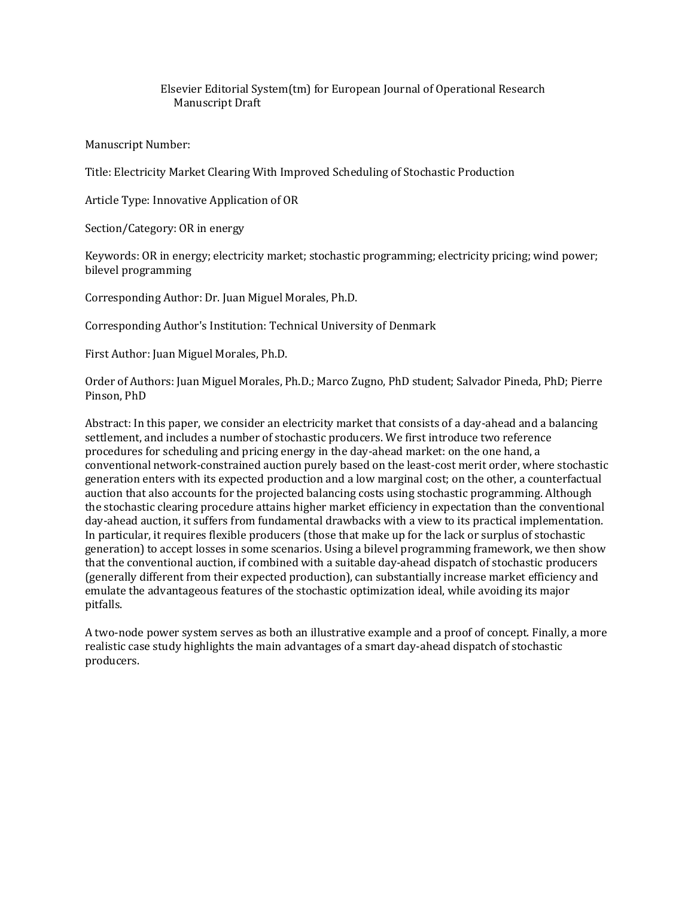# Elsevier Editorial System(tm) for European Journal of Operational Research Manuscript Draft

Manuscript Number:

Title: Electricity Market Clearing With Improved Scheduling of Stochastic Production

Article Type: Innovative Application of OR

Section/Category: OR in energy

Keywords: OR in energy; electricity market; stochastic programming; electricity pricing; wind power; bilevel programming

Corresponding Author: Dr. Juan Miguel Morales, Ph.D.

Corresponding Author's Institution: Technical University of Denmark

First Author: Juan Miguel Morales, Ph.D.

Order of Authors: Juan Miguel Morales, Ph.D.; Marco Zugno, PhD student; Salvador Pineda, PhD; Pierre Pinson, PhD

Abstract: In this paper, we consider an electricity market that consists of a day-ahead and a balancing settlement, and includes a number of stochastic producers. We first introduce two reference procedures for scheduling and pricing energy in the day-ahead market: on the one hand, a conventional network-constrained auction purely based on the least-cost merit order, where stochastic generation enters with its expected production and a low marginal cost; on the other, a counterfactual auction that also accounts for the projected balancing costs using stochastic programming. Although the stochastic clearing procedure attains higher market efficiency in expectation than the conventional day-ahead auction, it suffers from fundamental drawbacks with a view to its practical implementation. In particular, it requires flexible producers (those that make up for the lack or surplus of stochastic generation) to accept losses in some scenarios. Using a bilevel programming framework, we then show that the conventional auction, if combined with a suitable day-ahead dispatch of stochastic producers (generally different from their expected production), can substantially increase market efficiency and emulate the advantageous features of the stochastic optimization ideal, while avoiding its major pitfalls.

A two-node power system serves as both an illustrative example and a proof of concept. Finally, a more realistic case study highlights the main advantages of a smart day-ahead dispatch of stochastic producers.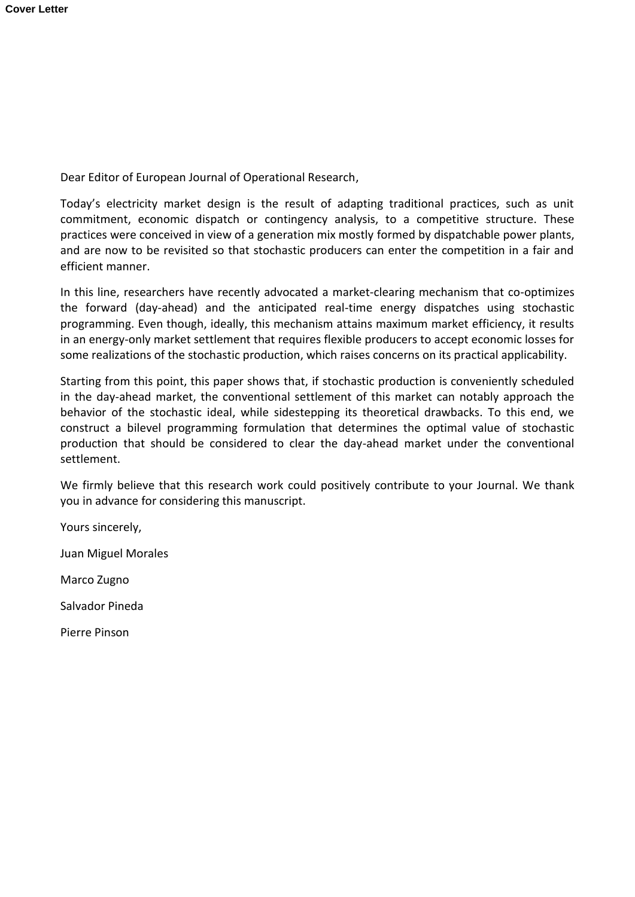Dear Editor of European Journal of Operational Research,

Today's electricity market design is the result of adapting traditional practices, such as unit commitment, economic dispatch or contingency analysis, to a competitive structure. These practices were conceived in view of a generation mix mostly formed by dispatchable power plants, and are now to be revisited so that stochastic producers can enter the competition in a fair and efficient manner.

In this line, researchers have recently advocated a market-clearing mechanism that co-optimizes the forward (day-ahead) and the anticipated real-time energy dispatches using stochastic programming. Even though, ideally, this mechanism attains maximum market efficiency, it results in an energy-only market settlement that requires flexible producers to accept economic losses for some realizations of the stochastic production, which raises concerns on its practical applicability.

Starting from this point, this paper shows that, if stochastic production is conveniently scheduled in the day-ahead market, the conventional settlement of this market can notably approach the behavior of the stochastic ideal, while sidestepping its theoretical drawbacks. To this end, we construct a bilevel programming formulation that determines the optimal value of stochastic production that should be considered to clear the day-ahead market under the conventional settlement.

We firmly believe that this research work could positively contribute to your Journal. We thank you in advance for considering this manuscript.

Yours sincerely,

Juan Miguel Morales

Marco Zugno

Salvador Pineda

Pierre Pinson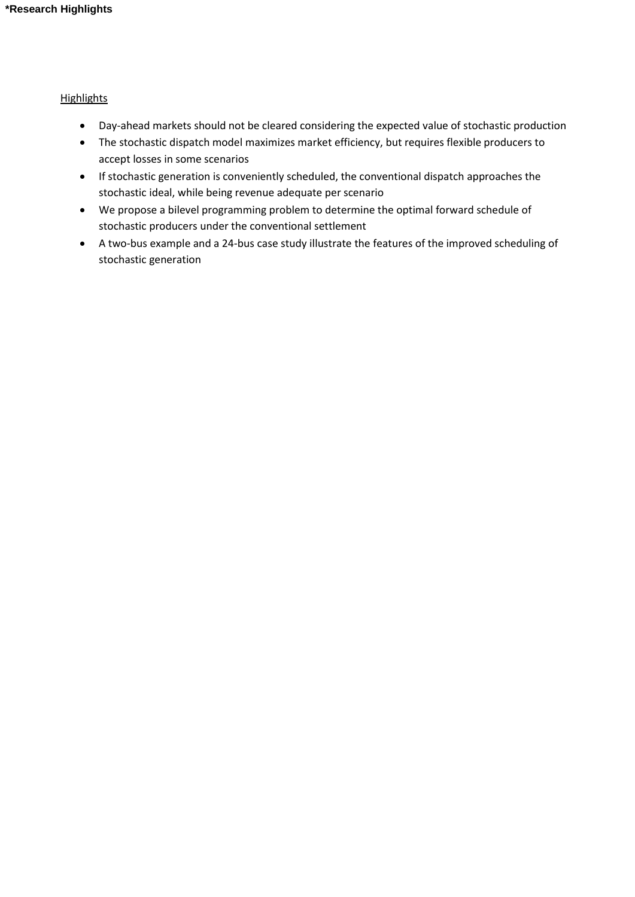# **Highlights**

- Day-ahead markets should not be cleared considering the expected value of stochastic production
- The stochastic dispatch model maximizes market efficiency, but requires flexible producers to accept losses in some scenarios
- If stochastic generation is conveniently scheduled, the conventional dispatch approaches the stochastic ideal, while being revenue adequate per scenario
- We propose a bilevel programming problem to determine the optimal forward schedule of stochastic producers under the conventional settlement
- A two-bus example and a 24-bus case study illustrate the features of the improved scheduling of stochastic generation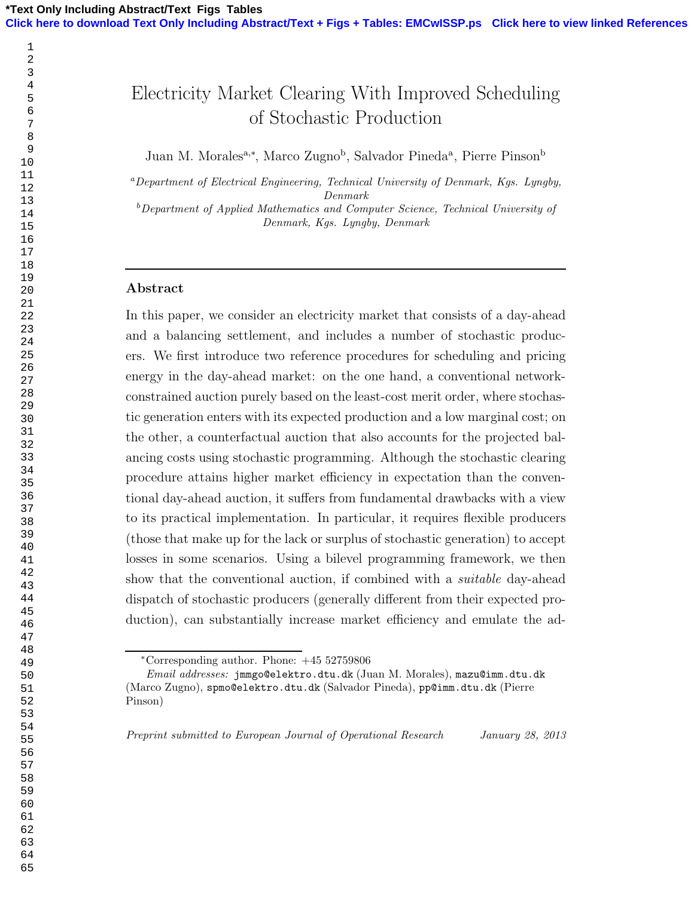# Electricity Market Clearing With Improved Scheduling of Stochastic Production

Juan M. Morales<sup>a,\*</sup>, Marco Zugno<sup>b</sup>, Salvador Pineda<sup>a</sup>, Pierre Pinson<sup>b</sup>

<sup>a</sup>Department of Electrical Engineering, Technical University of Denmark, Kgs. Lyngby, Denmark

 $b$ Department of Applied Mathematics and Computer Science, Technical University of Denmark, Kgs. Lyngby, Denmark

# Abstract

In this paper, we consider an electricity market that consists of a day-ahead and a balancing settlement, and includes a number of stochastic producers. We first introduce two reference procedures for scheduling and pricing energy in the day-ahead market: on the one hand, a conventional networkconstrained auction purely based on the least-cost merit order, where stochastic generation enters with its expected production and a low marginal cost; on the other, a counterfactual auction that also accounts for the projected balancing costs using stochastic programming. Although the stochastic clearing procedure attains higher market efficiency in expectation than the conventional day-ahead auction, it suffers from fundamental drawbacks with a view to its practical implementation. In particular, it requires flexible producers (those that make up for the lack or surplus of stochastic generation) to accept losses in some scenarios. Using a bilevel programming framework, we then show that the conventional auction, if combined with a suitable day-ahead dispatch of stochastic producers (generally different from their expected production), can substantially increase market efficiency and emulate the ad-

Preprint submitted to European Journal of Operational Research January 28, 2013

<sup>∗</sup>Corresponding author. Phone: +45 52759806

Email addresses: jmmgo@elektro.dtu.dk (Juan M. Morales), mazu@imm.dtu.dk (Marco Zugno), spmo@elektro.dtu.dk (Salvador Pineda), pp@imm.dtu.dk (Pierre Pinson)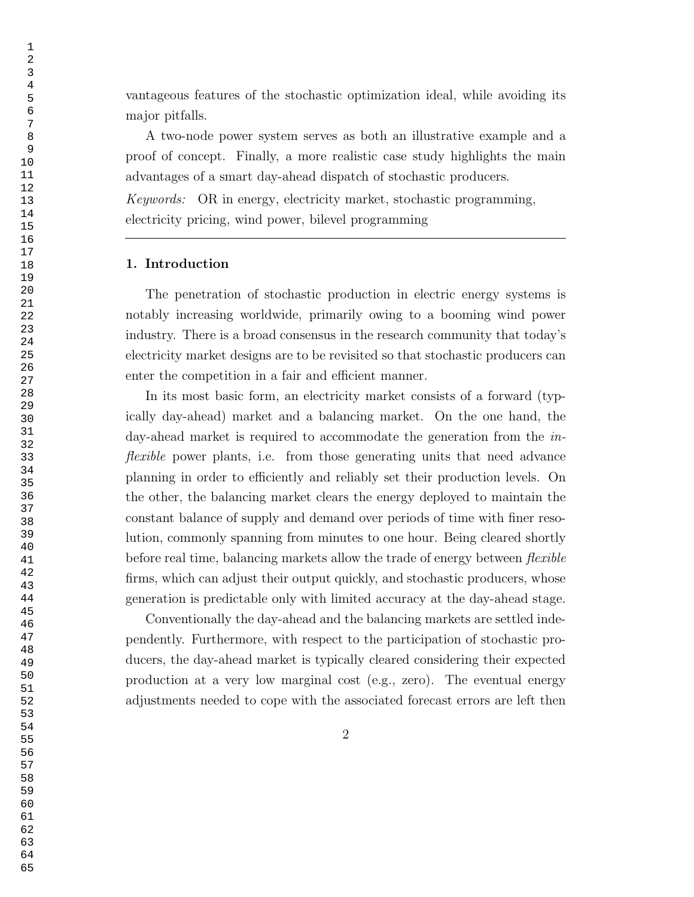vantageous features of the stochastic optimization ideal, while avoiding its major pitfalls.

A two-node power system serves as both an illustrative example and a proof of concept. Finally, a more realistic case study highlights the main advantages of a smart day-ahead dispatch of stochastic producers.

Keywords: OR in energy, electricity market, stochastic programming, electricity pricing, wind power, bilevel programming

# 1. Introduction

The penetration of stochastic production in electric energy systems is notably increasing worldwide, primarily owing to a booming wind power industry. There is a broad consensus in the research community that today's electricity market designs are to be revisited so that stochastic producers can enter the competition in a fair and efficient manner.

In its most basic form, an electricity market consists of a forward (typically day-ahead) market and a balancing market. On the one hand, the day-ahead market is required to accommodate the generation from the inflexible power plants, i.e. from those generating units that need advance planning in order to efficiently and reliably set their production levels. On the other, the balancing market clears the energy deployed to maintain the constant balance of supply and demand over periods of time with finer resolution, commonly spanning from minutes to one hour. Being cleared shortly before real time, balancing markets allow the trade of energy between *flexible* firms, which can adjust their output quickly, and stochastic producers, whose generation is predictable only with limited accuracy at the day-ahead stage.

Conventionally the day-ahead and the balancing markets are settled independently. Furthermore, with respect to the participation of stochastic producers, the day-ahead market is typically cleared considering their expected production at a very low marginal cost (e.g., zero). The eventual energy adjustments needed to cope with the associated forecast errors are left then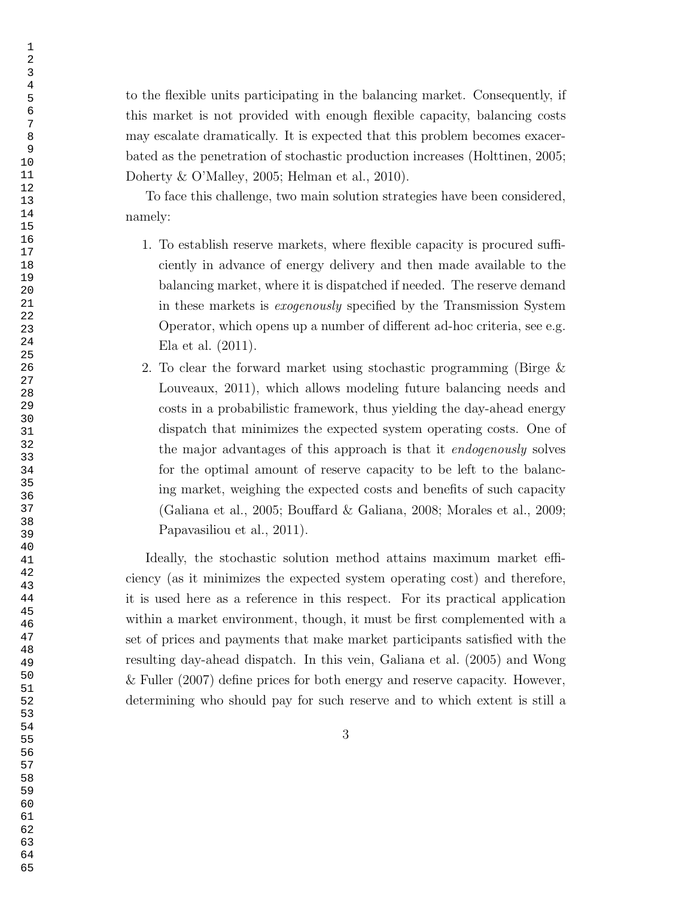to the flexible units participating in the balancing market. Consequently, if this market is not provided with enough flexible capacity, balancing costs may escalate dramatically. It is expected that this problem becomes exacerbated as the penetration of stochastic production increases (Holttinen, 2005; Doherty & O'Malley, 2005; Helman et al., 2010).

To face this challenge, two main solution strategies have been considered, namely:

- 1. To establish reserve markets, where flexible capacity is procured sufficiently in advance of energy delivery and then made available to the balancing market, where it is dispatched if needed. The reserve demand in these markets is exogenously specified by the Transmission System Operator, which opens up a number of different ad-hoc criteria, see e.g. Ela et al. (2011).
- 2. To clear the forward market using stochastic programming (Birge & Louveaux, 2011), which allows modeling future balancing needs and costs in a probabilistic framework, thus yielding the day-ahead energy dispatch that minimizes the expected system operating costs. One of the major advantages of this approach is that it endogenously solves for the optimal amount of reserve capacity to be left to the balancing market, weighing the expected costs and benefits of such capacity (Galiana et al., 2005; Bouffard & Galiana, 2008; Morales et al., 2009; Papavasiliou et al., 2011).

Ideally, the stochastic solution method attains maximum market efficiency (as it minimizes the expected system operating cost) and therefore, it is used here as a reference in this respect. For its practical application within a market environment, though, it must be first complemented with a set of prices and payments that make market participants satisfied with the resulting day-ahead dispatch. In this vein, Galiana et al. (2005) and Wong & Fuller (2007) define prices for both energy and reserve capacity. However, determining who should pay for such reserve and to which extent is still a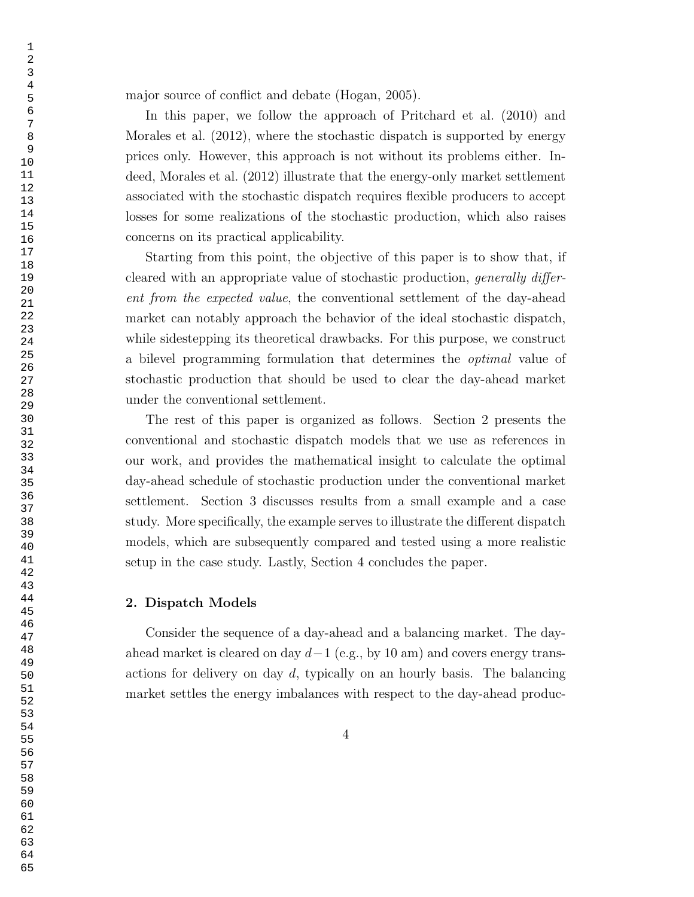major source of conflict and debate (Hogan, 2005).

In this paper, we follow the approach of Pritchard et al. (2010) and Morales et al. (2012), where the stochastic dispatch is supported by energy prices only. However, this approach is not without its problems either. Indeed, Morales et al. (2012) illustrate that the energy-only market settlement associated with the stochastic dispatch requires flexible producers to accept losses for some realizations of the stochastic production, which also raises concerns on its practical applicability.

Starting from this point, the objective of this paper is to show that, if cleared with an appropriate value of stochastic production, generally different from the expected value, the conventional settlement of the day-ahead market can notably approach the behavior of the ideal stochastic dispatch, while sidestepping its theoretical drawbacks. For this purpose, we construct a bilevel programming formulation that determines the optimal value of stochastic production that should be used to clear the day-ahead market under the conventional settlement.

The rest of this paper is organized as follows. Section 2 presents the conventional and stochastic dispatch models that we use as references in our work, and provides the mathematical insight to calculate the optimal day-ahead schedule of stochastic production under the conventional market settlement. Section 3 discusses results from a small example and a case study. More specifically, the example serves to illustrate the different dispatch models, which are subsequently compared and tested using a more realistic setup in the case study. Lastly, Section 4 concludes the paper.

### 2. Dispatch Models

Consider the sequence of a day-ahead and a balancing market. The dayahead market is cleared on day  $d-1$  (e.g., by 10 am) and covers energy transactions for delivery on day d, typically on an hourly basis. The balancing market settles the energy imbalances with respect to the day-ahead produc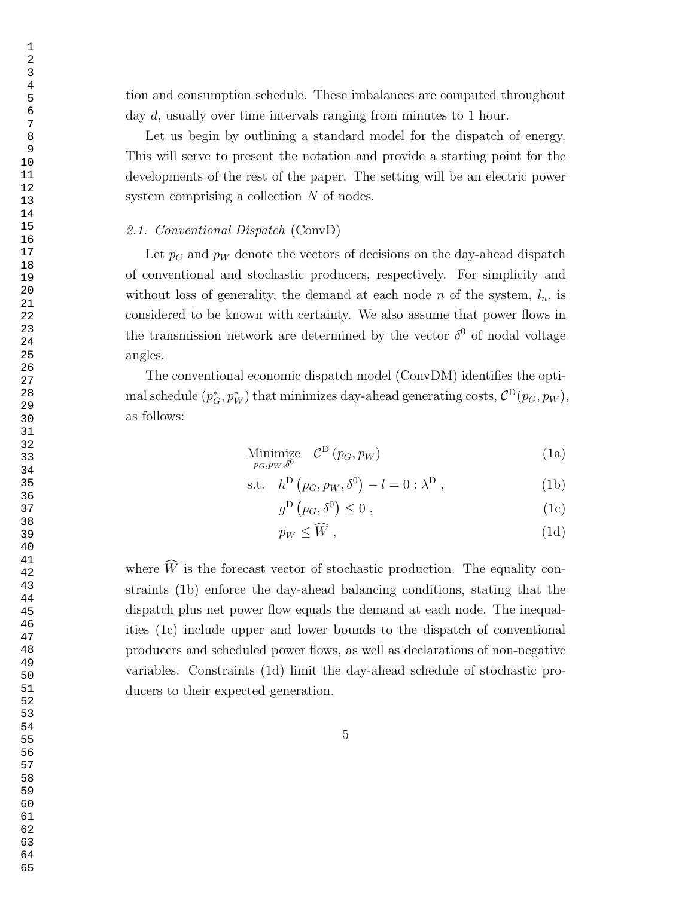tion and consumption schedule. These imbalances are computed throughout day d, usually over time intervals ranging from minutes to 1 hour.

Let us begin by outlining a standard model for the dispatch of energy. This will serve to present the notation and provide a starting point for the developments of the rest of the paper. The setting will be an electric power system comprising a collection N of nodes.

# 2.1. Conventional Dispatch (ConvD)

Let  $p_G$  and  $p_W$  denote the vectors of decisions on the day-ahead dispatch of conventional and stochastic producers, respectively. For simplicity and without loss of generality, the demand at each node n of the system,  $l_n$ , is considered to be known with certainty. We also assume that power flows in the transmission network are determined by the vector  $\delta^0$  of nodal voltage angles.

The conventional economic dispatch model (ConvDM) identifies the optimal schedule  $(p_G^*, p_W^*)$  that minimizes day-ahead generating costs,  $\mathcal{C}^{\text{D}}(p_G, p_W)$ , as follows:

Minimize 
$$
\mathcal{C}^{\mathcal{D}}(p_G, p_W)
$$
 (1a)

$$
s.t. \quad h^D(p_G, p_W, \delta^0) - l = 0 : \lambda^D , \tag{1b}
$$

$$
g^{\mathcal{D}}\left(p_G, \delta^0\right) \le 0 \tag{1c}
$$

$$
p_W \leq \tilde{W},\tag{1d}
$$

where  $\widehat{W}$  is the forecast vector of stochastic production. The equality constraints (1b) enforce the day-ahead balancing conditions, stating that the dispatch plus net power flow equals the demand at each node. The inequalities (1c) include upper and lower bounds to the dispatch of conventional producers and scheduled power flows, as well as declarations of non-negative variables. Constraints (1d) limit the day-ahead schedule of stochastic producers to their expected generation.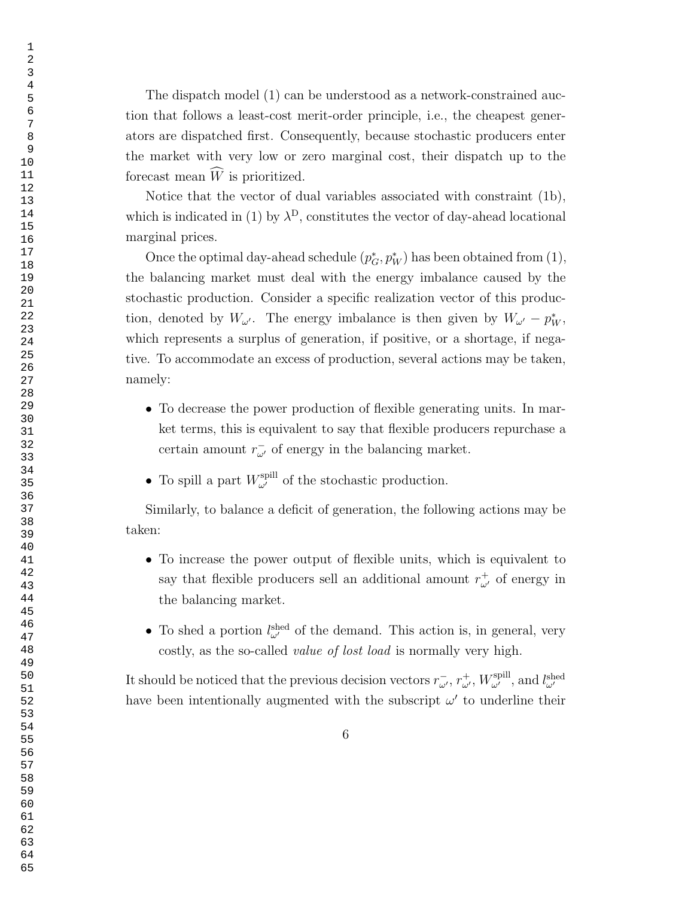The dispatch model (1) can be understood as a network-constrained auction that follows a least-cost merit-order principle, i.e., the cheapest generators are dispatched first. Consequently, because stochastic producers enter the market with very low or zero marginal cost, their dispatch up to the forecast mean  $\widehat{W}$  is prioritized.

Notice that the vector of dual variables associated with constraint (1b), which is indicated in (1) by  $\lambda^{D}$ , constitutes the vector of day-ahead locational marginal prices.

Once the optimal day-ahead schedule  $(p_G^*, p_W^*)$  has been obtained from  $(1)$ , the balancing market must deal with the energy imbalance caused by the stochastic production. Consider a specific realization vector of this production, denoted by  $W_{\omega'}$ . The energy imbalance is then given by  $W_{\omega'} - p_W^*$ , which represents a surplus of generation, if positive, or a shortage, if negative. To accommodate an excess of production, several actions may be taken, namely:

- To decrease the power production of flexible generating units. In market terms, this is equivalent to say that flexible producers repurchase a certain amount  $r_{\omega'}^-$  of energy in the balancing market.
- To spill a part  $W_{\omega'}^{\text{spill}}$  of the stochastic production.

Similarly, to balance a deficit of generation, the following actions may be taken:

- To increase the power output of flexible units, which is equivalent to say that flexible producers sell an additional amount  $r^+_{\omega'}$  of energy in the balancing market.
- To shed a portion  $l_{\omega'}^{\text{shed}}$  of the demand. This action is, in general, very costly, as the so-called value of lost load is normally very high.

It should be noticed that the previous decision vectors  $r_{\omega'}^-, r_{\omega'}^+, W_{\omega'}^{\text{spill}},$  and  $l_{\omega'}^{\text{shed}}$ have been intentionally augmented with the subscript  $\omega'$  to underline their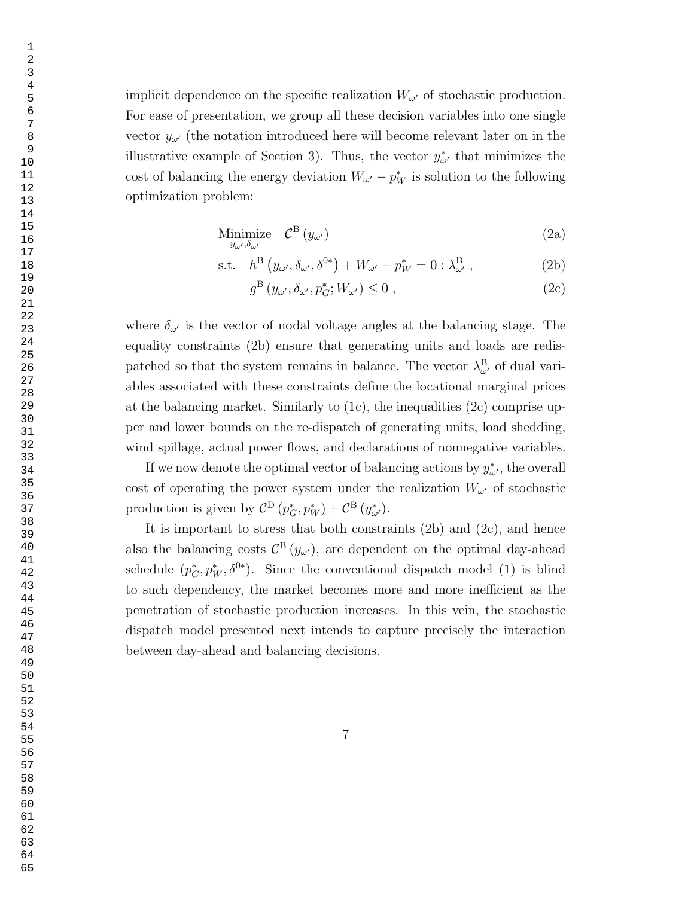implicit dependence on the specific realization  $W_{\omega}$  of stochastic production. For ease of presentation, we group all these decision variables into one single vector  $y_{\omega'}$  (the notation introduced here will become relevant later on in the illustrative example of Section 3). Thus, the vector  $y^*_{\omega'}$  that minimizes the cost of balancing the energy deviation  $W_{\omega'} - p_W^*$  is solution to the following optimization problem:

$$
\underset{y_{\omega'},\delta_{\omega'}}{\text{Minimize}} \quad \mathcal{C}^{\text{B}}\left(y_{\omega'}\right) \tag{2a}
$$

$$
\text{s.t.} \quad h^{\text{B}}\left(y_{\omega'}, \delta_{\omega'}, \delta^{0*}\right) + W_{\omega'} - p_W^* = 0 : \lambda_{\omega'}^{\text{B}} \,,\tag{2b}
$$

$$
g^{\mathcal{B}}\left(y_{\omega'},\delta_{\omega'},p_G^*;W_{\omega'}\right)\leq 0\;, \tag{2c}
$$

where  $\delta_{\omega'}$  is the vector of nodal voltage angles at the balancing stage. The equality constraints (2b) ensure that generating units and loads are redispatched so that the system remains in balance. The vector  $\lambda_{\omega'}^{\text{B}}$  of dual variables associated with these constraints define the locational marginal prices at the balancing market. Similarly to  $(1c)$ , the inequalities  $(2c)$  comprise upper and lower bounds on the re-dispatch of generating units, load shedding, wind spillage, actual power flows, and declarations of nonnegative variables.

If we now denote the optimal vector of balancing actions by  $y^*_{\omega'}$ , the overall cost of operating the power system under the realization  $W_{\omega'}$  of stochastic production is given by  $C^{D}(p_{G}^{*}, p_{W}^{*}) + C^{B}(y_{\omega'}^{*}).$ 

It is important to stress that both constraints  $(2b)$  and  $(2c)$ , and hence also the balancing costs  $\mathcal{C}^{B}(y_{\omega})$ , are dependent on the optimal day-ahead schedule  $(p_G^*, p_W^*, \delta^{0*})$ . Since the conventional dispatch model (1) is blind to such dependency, the market becomes more and more inefficient as the penetration of stochastic production increases. In this vein, the stochastic dispatch model presented next intends to capture precisely the interaction between day-ahead and balancing decisions.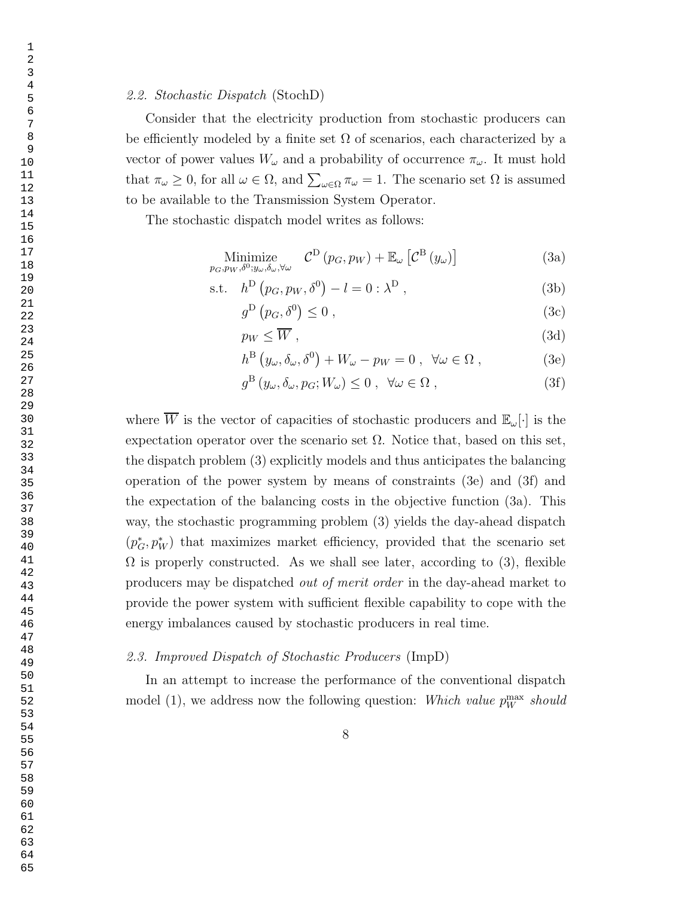# 2.2. Stochastic Dispatch (StochD)

Consider that the electricity production from stochastic producers can be efficiently modeled by a finite set  $\Omega$  of scenarios, each characterized by a vector of power values  $W_{\omega}$  and a probability of occurrence  $\pi_{\omega}$ . It must hold that  $\pi_{\omega} \geq 0$ , for all  $\omega \in \Omega$ , and  $\sum_{\omega \in \Omega} \pi_{\omega} = 1$ . The scenario set  $\Omega$  is assumed to be available to the Transmission System Operator.

The stochastic dispatch model writes as follows:

Minimize  

$$
p_G, p_W, \delta^0; y_\omega, \delta_\omega, \forall \omega
$$
  $\mathcal{C}^{\mathcal{D}}(p_G, p_W) + \mathbb{E}_{\omega} \left[ \mathcal{C}^{\mathcal{B}}(y_\omega) \right]$  (3a)

$$
s.t. \quad h^D(p_G, p_W, \delta^0) - l = 0 : \lambda^D , \tag{3b}
$$

$$
g^{\mathcal{D}}\left(p_G, \delta^0\right) \le 0\tag{3c}
$$

$$
p_W \le \overline{W} \,,\tag{3d}
$$

$$
h^{B} (y_{\omega}, \delta_{\omega}, \delta^{0}) + W_{\omega} - p_{W} = 0 , \quad \forall \omega \in \Omega ,
$$
 (3e)

$$
g^{\mathcal{B}}\left(y_{\omega}, \delta_{\omega}, p_{G}; W_{\omega}\right) \leq 0 \ , \ \forall \omega \in \Omega \ , \tag{3f}
$$

where  $\overline{W}$  is the vector of capacities of stochastic producers and  $\mathbb{E}_{\omega}[\cdot]$  is the expectation operator over the scenario set  $\Omega$ . Notice that, based on this set, the dispatch problem (3) explicitly models and thus anticipates the balancing operation of the power system by means of constraints (3e) and (3f) and the expectation of the balancing costs in the objective function (3a). This way, the stochastic programming problem (3) yields the day-ahead dispatch  $(p_G^*, p_W^*)$  that maximizes market efficiency, provided that the scenario set  $\Omega$  is properly constructed. As we shall see later, according to (3), flexible producers may be dispatched out of merit order in the day-ahead market to provide the power system with sufficient flexible capability to cope with the energy imbalances caused by stochastic producers in real time.

# 2.3. Improved Dispatch of Stochastic Producers (ImpD)

In an attempt to increase the performance of the conventional dispatch model (1), we address now the following question: Which value  $p_W^{\text{max}}$  should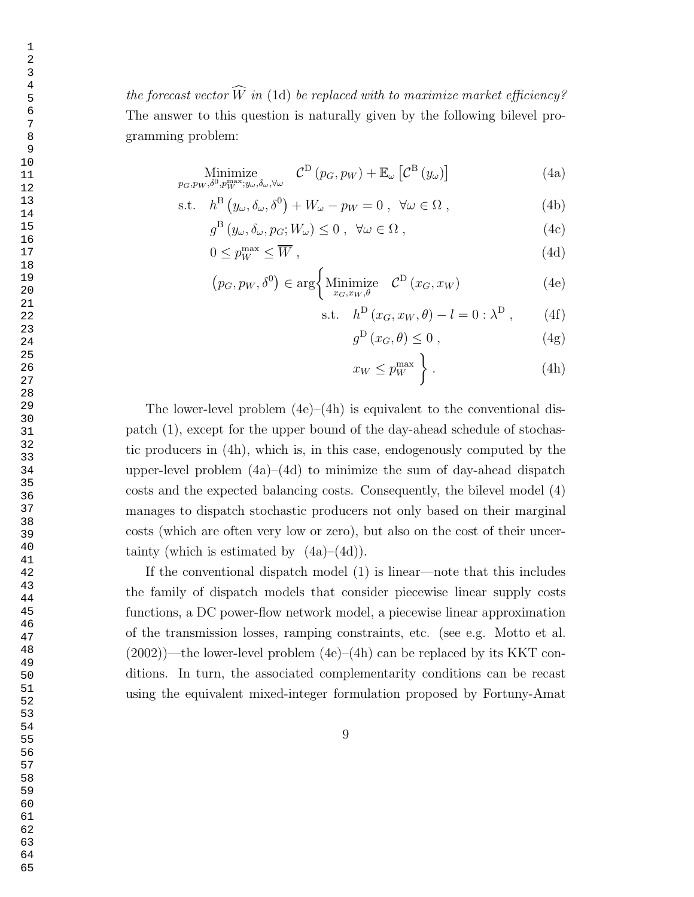the forecast vector  $\widehat{W}$  in (1d) be replaced with to maximize market efficiency? The answer to this question is naturally given by the following bilevel programming problem:

Minimize  

$$
p_G, p_W, \delta^0, p_W^{\max}; y_\omega, \delta_\omega, \forall \omega
$$
  $\mathcal{C}^{\mathcal{D}}(p_G, p_W) + \mathbb{E}_{\omega} \left[ \mathcal{C}^{\mathcal{B}}(y_\omega) \right]$  (4a)

s.t. 
$$
h^{\text{B}}(y_{\omega}, \delta_{\omega}, \delta^{0}) + W_{\omega} - p_{W} = 0
$$
,  $\forall \omega \in \Omega$ , (4b)

$$
g^{\mathcal{B}}(y_{\omega}, \delta_{\omega}, p_{G}; W_{\omega}) \leq 0 , \quad \forall \omega \in \Omega , \tag{4c}
$$

$$
0 \le p_W^{\max} \le \overline{W} \,, \tag{4d}
$$

$$
(p_G, p_W, \delta^0) \in \arg \left\{ \underset{x_G, x_W, \theta}{\text{Minimize}} \quad \mathcal{C}^D(x_G, x_W) \right\} \tag{4e}
$$

$$
s.t. \quad h^D(x_G, x_W, \theta) - l = 0 : \lambda^D , \qquad (4f)
$$

$$
g^D(x_G, \theta) \le 0 , \qquad (4g)
$$

$$
x_W \le p_W^{\max} \t\t\Big\} \t\t(4h)
$$

The lower-level problem  $(4e)$ – $(4h)$  is equivalent to the conventional dispatch (1), except for the upper bound of the day-ahead schedule of stochastic producers in (4h), which is, in this case, endogenously computed by the upper-level problem  $(4a)$ – $(4d)$  to minimize the sum of day-ahead dispatch costs and the expected balancing costs. Consequently, the bilevel model (4) manages to dispatch stochastic producers not only based on their marginal costs (which are often very low or zero), but also on the cost of their uncertainty (which is estimated by  $(4a)–(4d)$ ).

If the conventional dispatch model (1) is linear—note that this includes the family of dispatch models that consider piecewise linear supply costs functions, a DC power-flow network model, a piecewise linear approximation of the transmission losses, ramping constraints, etc. (see e.g. Motto et al.  $(2002)$ )—the lower-level problem  $(4e)$ – $(4h)$  can be replaced by its KKT conditions. In turn, the associated complementarity conditions can be recast using the equivalent mixed-integer formulation proposed by Fortuny-Amat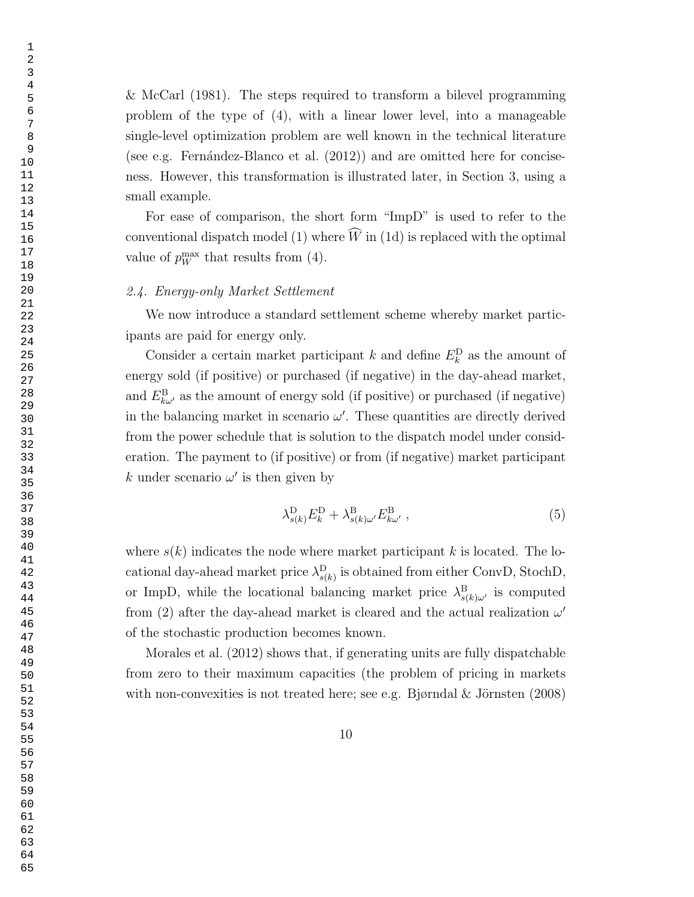& McCarl (1981). The steps required to transform a bilevel programming problem of the type of (4), with a linear lower level, into a manageable single-level optimization problem are well known in the technical literature (see e.g. Fernández-Blanco et al.  $(2012)$ ) and are omitted here for conciseness. However, this transformation is illustrated later, in Section 3, using a small example.

For ease of comparison, the short form "ImpD" is used to refer to the conventional dispatch model (1) where  $\widehat{W}$  in (1d) is replaced with the optimal value of  $p_W^{\text{max}}$  that results from (4).

# 2.4. Energy-only Market Settlement

We now introduce a standard settlement scheme whereby market participants are paid for energy only.

Consider a certain market participant k and define  $E_k^D$  as the amount of energy sold (if positive) or purchased (if negative) in the day-ahead market, and  $E_{k\omega}^{\text{B}}$  as the amount of energy sold (if positive) or purchased (if negative) in the balancing market in scenario  $\omega'$ . These quantities are directly derived from the power schedule that is solution to the dispatch model under consideration. The payment to (if positive) or from (if negative) market participant k under scenario  $\omega'$  is then given by

$$
\lambda_{s(k)}^{\mathrm{D}} E_k^{\mathrm{D}} + \lambda_{s(k)\omega}^{\mathrm{B}} E_{k\omega'}^{\mathrm{B}} \,, \tag{5}
$$

where  $s(k)$  indicates the node where market participant k is located. The locational day-ahead market price  $\lambda_{s(k)}^{\text{D}}$  is obtained from either ConvD, StochD, or ImpD, while the locational balancing market price  $\lambda_{s(k)\omega'}^{\text{B}}$  is computed from (2) after the day-ahead market is cleared and the actual realization  $\omega'$ of the stochastic production becomes known.

Morales et al. (2012) shows that, if generating units are fully dispatchable from zero to their maximum capacities (the problem of pricing in markets with non-convexities is not treated here; see e.g. Bjørndal & Jörnsten  $(2008)$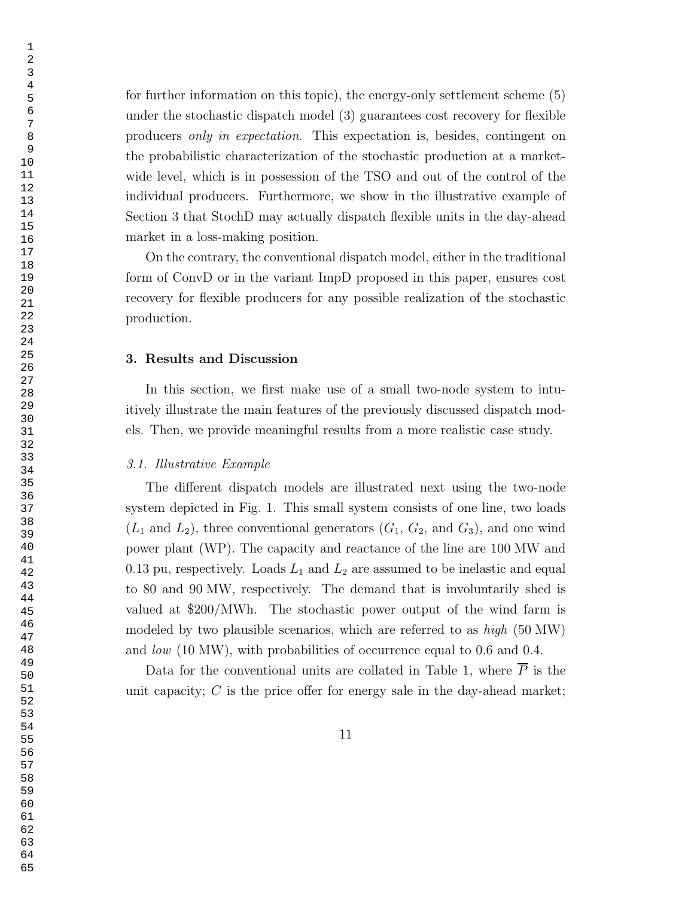for further information on this topic), the energy-only settlement scheme (5) under the stochastic dispatch model (3) guarantees cost recovery for flexible producers only in expectation. This expectation is, besides, contingent on the probabilistic characterization of the stochastic production at a marketwide level, which is in possession of the TSO and out of the control of the individual producers. Furthermore, we show in the illustrative example of Section 3 that StochD may actually dispatch flexible units in the day-ahead market in a loss-making position.

On the contrary, the conventional dispatch model, either in the traditional form of ConvD or in the variant ImpD proposed in this paper, ensures cost recovery for flexible producers for any possible realization of the stochastic production.

#### 3. Results and Discussion

In this section, we first make use of a small two-node system to intuitively illustrate the main features of the previously discussed dispatch models. Then, we provide meaningful results from a more realistic case study.

# 3.1. Illustrative Example

The different dispatch models are illustrated next using the two-node system depicted in Fig. 1. This small system consists of one line, two loads  $(L_1 \text{ and } L_2)$ , three conventional generators  $(G_1, G_2, \text{ and } G_3)$ , and one wind power plant (WP). The capacity and reactance of the line are 100 MW and 0.13 pu, respectively. Loads  $L_1$  and  $L_2$  are assumed to be inelastic and equal to 80 and 90 MW, respectively. The demand that is involuntarily shed is valued at \$200/MWh. The stochastic power output of the wind farm is modeled by two plausible scenarios, which are referred to as  $high(50 MW)$ and low (10 MW), with probabilities of occurrence equal to 0.6 and 0.4.

Data for the conventional units are collated in Table 1, where  $\overline{P}$  is the unit capacity;  $C$  is the price offer for energy sale in the day-ahead market;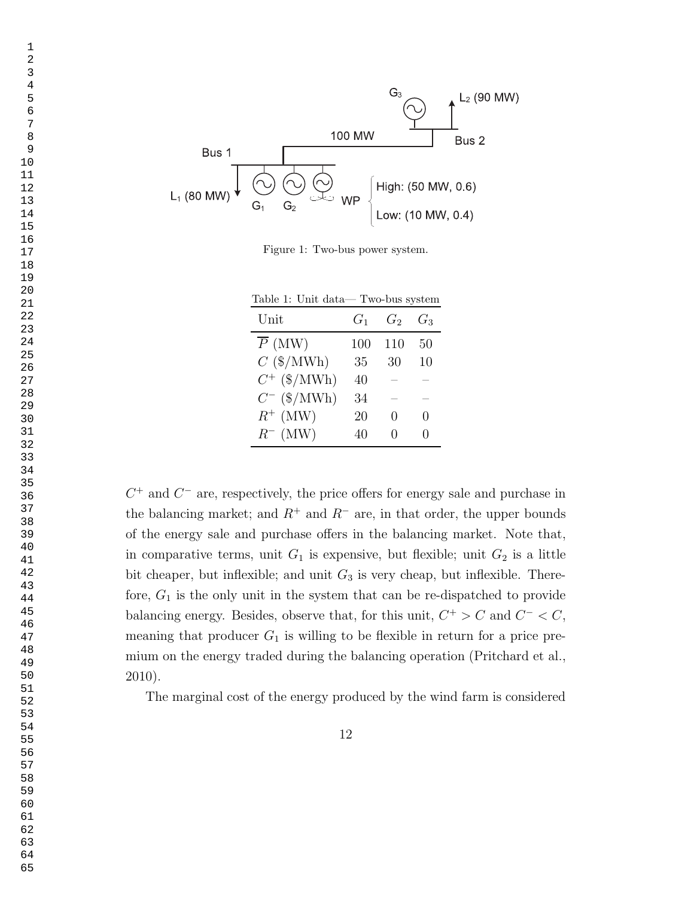

Figure 1: Two-bus power system.

| Table 1: Unit data—Two-bus system |       |               |              |  |  |
|-----------------------------------|-------|---------------|--------------|--|--|
| Unit                              | $G_1$ | $G_2$         | $G_3$        |  |  |
| $\overline{P}$ (MW)               | 100   | 110           | 50           |  |  |
| $C$ (\$/MWh)                      | 35    | 30            | 10           |  |  |
| $C^{+}$ (\$/MWh)                  | 40    |               |              |  |  |
| $C^-$ (\$/MWh)                    | 34    |               |              |  |  |
| $R^+$ (MW)                        | 20    | $\mathcal{O}$ | $\mathbf{0}$ |  |  |
| $R^-$ (MW)                        | 40    |               |              |  |  |

 $C^+$  and  $C^-$  are, respectively, the price offers for energy sale and purchase in the balancing market; and  $R^+$  and  $R^-$  are, in that order, the upper bounds of the energy sale and purchase offers in the balancing market. Note that, in comparative terms, unit  $G_1$  is expensive, but flexible; unit  $G_2$  is a little bit cheaper, but inflexible; and unit  $G_3$  is very cheap, but inflexible. Therefore,  $G_1$  is the only unit in the system that can be re-dispatched to provide balancing energy. Besides, observe that, for this unit,  $C^+ > C$  and  $C^- < C$ , meaning that producer  $G_1$  is willing to be flexible in return for a price premium on the energy traded during the balancing operation (Pritchard et al., 2010).

The marginal cost of the energy produced by the wind farm is considered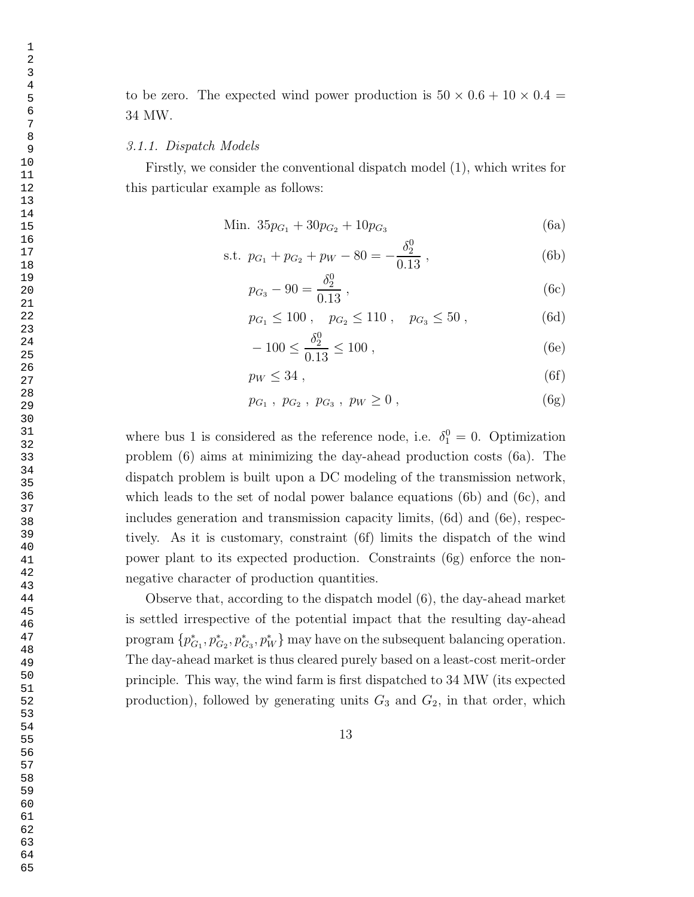to be zero. The expected wind power production is  $50 \times 0.6 + 10 \times 0.4 =$ 34 MW.

#### 3.1.1. Dispatch Models

Firstly, we consider the conventional dispatch model (1), which writes for this particular example as follows:

$$
\text{Min. } 35p_{G_1} + 30p_{G_2} + 10p_{G_3} \tag{6a}
$$

s.t. 
$$
p_{G_1} + p_{G_2} + p_W - 80 = -\frac{\delta_2^0}{0.13}
$$
, (6b)

$$
p_{G_3} - 90 = \frac{\delta_2^0}{0.13} \,, \tag{6c}
$$

$$
p_{G_1} \le 100
$$
,  $p_{G_2} \le 110$ ,  $p_{G_3} \le 50$ , (6d)

$$
-100 \le \frac{\delta_2^0}{0.13} \le 100 ,\t(6e)
$$

$$
p_W \le 34 \tag{6f}
$$

$$
p_{G_1}, p_{G_2}, p_{G_3}, p_W \ge 0, \qquad (6g)
$$

where bus 1 is considered as the reference node, i.e.  $\delta_1^0 = 0$ . Optimization problem (6) aims at minimizing the day-ahead production costs (6a). The dispatch problem is built upon a DC modeling of the transmission network, which leads to the set of nodal power balance equations (6b) and (6c), and includes generation and transmission capacity limits, (6d) and (6e), respectively. As it is customary, constraint (6f) limits the dispatch of the wind power plant to its expected production. Constraints (6g) enforce the nonnegative character of production quantities.

Observe that, according to the dispatch model (6), the day-ahead market is settled irrespective of the potential impact that the resulting day-ahead program  $\{p_C^*\}$  ${}_{G_1}^*, p_{G_2}^*, p_{G_3}^*, p_W^*$  may have on the subsequent balancing operation. The day-ahead market is thus cleared purely based on a least-cost merit-order principle. This way, the wind farm is first dispatched to 34 MW (its expected production), followed by generating units  $G_3$  and  $G_2$ , in that order, which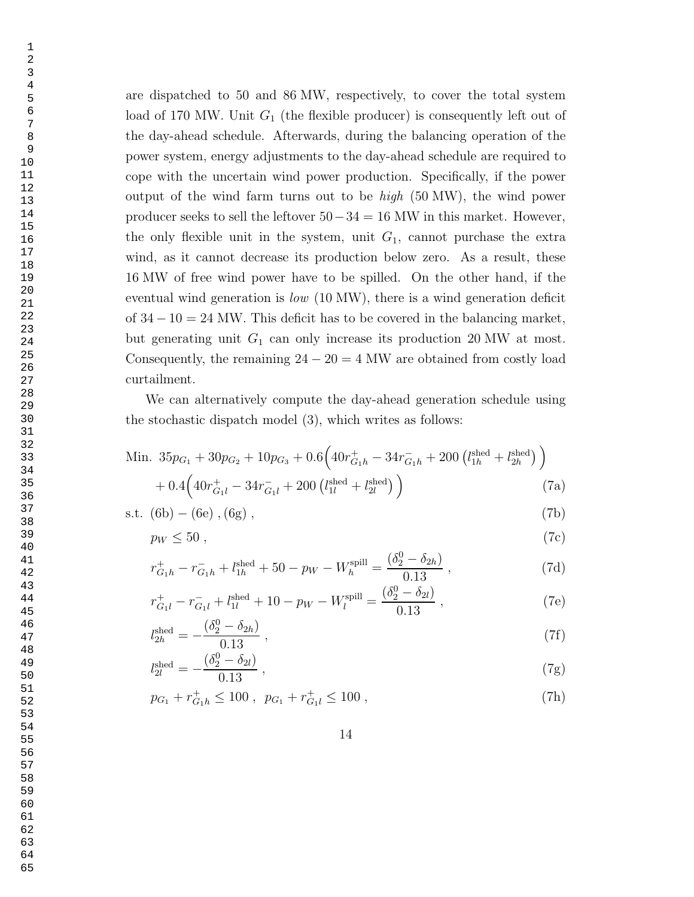are dispatched to 50 and 86 MW, respectively, to cover the total system load of 170 MW. Unit  $G_1$  (the flexible producer) is consequently left out of the day-ahead schedule. Afterwards, during the balancing operation of the power system, energy adjustments to the day-ahead schedule are required to cope with the uncertain wind power production. Specifically, if the power output of the wind farm turns out to be  $high$  (50 MW), the wind power producer seeks to sell the leftover  $50-34 = 16$  MW in this market. However, the only flexible unit in the system, unit  $G_1$ , cannot purchase the extra wind, as it cannot decrease its production below zero. As a result, these 16 MW of free wind power have to be spilled. On the other hand, if the eventual wind generation is low (10 MW), there is a wind generation deficit of  $34 - 10 = 24$  MW. This deficit has to be covered in the balancing market, but generating unit  $G_1$  can only increase its production 20 MW at most. Consequently, the remaining  $24 - 20 = 4$  MW are obtained from costly load curtailment.

We can alternatively compute the day-ahead generation schedule using the stochastic dispatch model (3), which writes as follows:

Min. 
$$
35p_{G_1} + 30p_{G_2} + 10p_{G_3} + 0.6(40r_{G_1h}^+ - 34r_{G_1h}^- + 200(l_{1h}^{\text{shed}} + l_{2h}^{\text{shed}}))
$$
  
+  $0.4(40r_{G_1l}^+ - 34r_{G_1l}^- + 200(l_{1l}^{\text{shed}} + l_{2l}^{\text{shed}}))$  (7a)

s.t. 
$$
(6b) - (6e), (6g),
$$
 (7b)

$$
p_W \le 50 \tag{7c}
$$

$$
r_{G_1h}^+ - r_{G_1h}^- + l_{1h}^{\text{shed}} + 50 - p_W - W_h^{\text{spill}} = \frac{(\delta_2^0 - \delta_{2h})}{0.13} \,,\tag{7d}
$$

$$
r_{G_1l}^+ - r_{G_1l}^- + l_{1l}^{\text{shed}} + 10 - p_W - W_l^{\text{spill}} = \frac{(\delta_2^0 - \delta_{2l})}{0.13} , \qquad (7e)
$$

$$
l_{2h}^{\text{shed}} = -\frac{(\delta_2^0 - \delta_{2h})}{0.13} \,, \tag{7f}
$$

$$
l_{2l}^{\text{shed}} = -\frac{(\delta_2^0 - \delta_{2l})}{0.13} \,, \tag{7g}
$$

$$
p_{G_1} + r_{G_1h}^+ \le 100 \ , \ p_{G_1} + r_{G_1l}^+ \le 100 \ , \tag{7h}
$$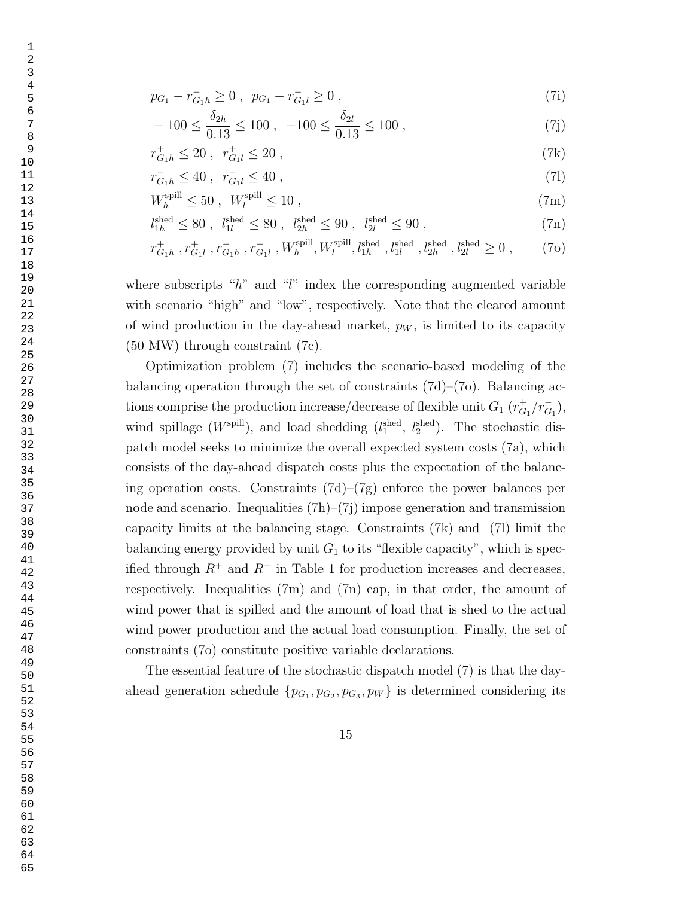$$
p_{G_1} - r_{G_1h}^- \ge 0 \ , \ p_{G_1} - r_{G_1l}^- \ge 0 \ , \tag{7i}
$$

$$
-100 \le \frac{\delta_{2h}}{0.13} \le 100 \ , \ -100 \le \frac{\delta_{2l}}{0.13} \le 100 \ , \tag{7j}
$$

$$
r_{G_1h}^+ \le 20 \;, \; r_{G_1l}^+ \le 20 \;, \tag{7k}
$$

$$
r_{G_1h}^- \le 40 \; , \; r_{G_1l}^- \le 40 \; , \tag{71}
$$

$$
W_h^{\text{spill}} \le 50 \; , \; W_l^{\text{spill}} \le 10 \; , \tag{7m}
$$

$$
l_{1h}^{\text{shed}} \le 80 \; , \; l_{1l}^{\text{shed}} \le 80 \; , \; l_{2h}^{\text{shed}} \le 90 \; , \; l_{2l}^{\text{shed}} \le 90 \; , \tag{7n}
$$

$$
r_{G_1h}^+, r_{G_1l}^+, r_{G_1h}^-, r_{G_1l}^-, W_h^{\text{spill}}, W_l^{\text{spill}}, l_{1h}^{\text{shed}}, l_{1l}^{\text{shed}}, l_{2h}^{\text{shed}}, l_{2l}^{\text{shed}} \ge 0 ,\qquad (70)
$$

where subscripts " $h$ " and " $l$ " index the corresponding augmented variable with scenario "high" and "low", respectively. Note that the cleared amount of wind production in the day-ahead market,  $p_W$ , is limited to its capacity (50 MW) through constraint (7c).

Optimization problem (7) includes the scenario-based modeling of the balancing operation through the set of constraints  $(7d)$ – $(7o)$ . Balancing actions comprise the production increase/decrease of flexible unit  $G_1(r_{G_1}^+/r_{G_1}^-)$  $_{G_1}),$ wind spillage  $(W^{\text{spill}})$ , and load shedding  $(l_1^{\text{shed}}, l_2^{\text{shed}})$ . The stochastic dispatch model seeks to minimize the overall expected system costs (7a), which consists of the day-ahead dispatch costs plus the expectation of the balancing operation costs. Constraints  $(7d)-(7g)$  enforce the power balances per node and scenario. Inequalities  $(7h)$ – $(7i)$  impose generation and transmission capacity limits at the balancing stage. Constraints (7k) and (7l) limit the balancing energy provided by unit  $G_1$  to its "flexible capacity", which is specified through  $R^+$  and  $R^-$  in Table 1 for production increases and decreases, respectively. Inequalities  $(7m)$  and  $(7n)$  cap, in that order, the amount of wind power that is spilled and the amount of load that is shed to the actual wind power production and the actual load consumption. Finally, the set of constraints (7o) constitute positive variable declarations.

The essential feature of the stochastic dispatch model (7) is that the dayahead generation schedule  $\{p_{G_1}, p_{G_2}, p_{G_3}, p_W\}$  is determined considering its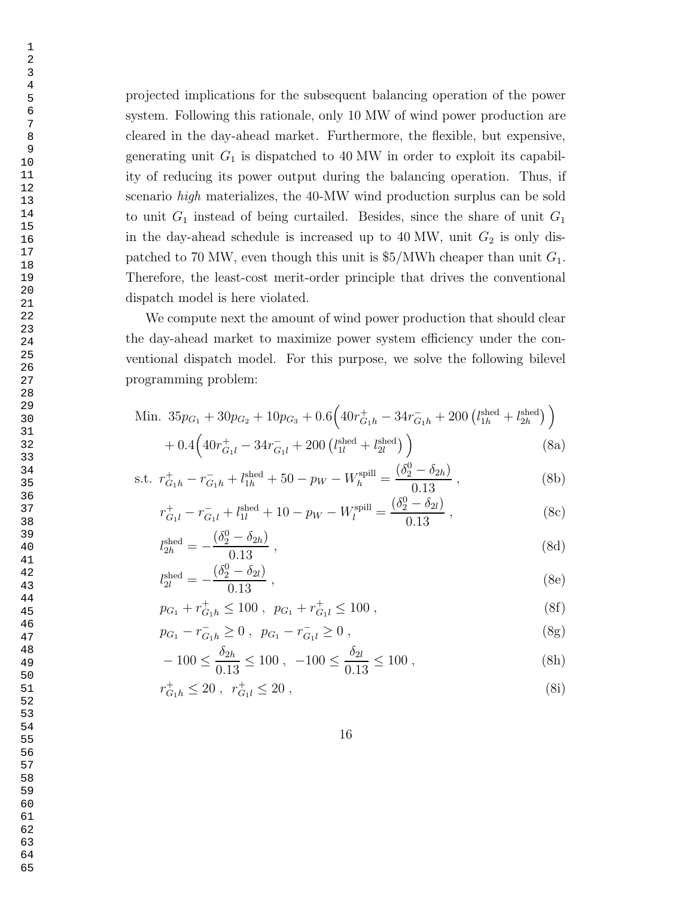projected implications for the subsequent balancing operation of the power system. Following this rationale, only 10 MW of wind power production are cleared in the day-ahead market. Furthermore, the flexible, but expensive, generating unit  $G_1$  is dispatched to 40 MW in order to exploit its capability of reducing its power output during the balancing operation. Thus, if scenario high materializes, the 40-MW wind production surplus can be sold to unit  $G_1$  instead of being curtailed. Besides, since the share of unit  $G_1$ in the day-ahead schedule is increased up to 40 MW, unit  $G_2$  is only dispatched to 70 MW, even though this unit is  $$5/MWh$  cheaper than unit  $G_1$ . Therefore, the least-cost merit-order principle that drives the conventional dispatch model is here violated.

We compute next the amount of wind power production that should clear the day-ahead market to maximize power system efficiency under the conventional dispatch model. For this purpose, we solve the following bilevel programming problem:

Min. 
$$
35p_{G_1} + 30p_{G_2} + 10p_{G_3} + 0.6(40r_{G_1h}^+ - 34r_{G_1h}^- + 200(l_{1h}^{\text{shed}} + l_{2h}^{\text{shed}}))
$$
  
+  $0.4(40r_{G_1l}^+ - 34r_{G_1l}^- + 200(l_{1l}^{\text{shed}} + l_{2l}^{\text{shed}}))$  (8a)

s.t. 
$$
r_{G_1h}^+ - r_{G_1h}^- + l_{1h}^{\text{shed}} + 50 - p_W - W_h^{\text{spill}} = \frac{(\delta_2^0 - \delta_{2h})}{0.13}
$$
, (8b)

$$
r_{G_1l}^+ - r_{G_1l}^- + l_{1l}^{\text{shed}} + 10 - p_W - W_l^{\text{spill}} = \frac{(\delta_2^0 - \delta_{2l})}{0.13} , \qquad (8c)
$$

$$
l_{2h}^{\text{shed}} = -\frac{(\delta_2^0 - \delta_{2h})}{0.13} \,, \tag{8d}
$$

$$
l_{2l}^{\text{shed}} = -\frac{(\delta_2^0 - \delta_{2l})}{0.13} \,, \tag{8e}
$$

$$
p_{G_1} + r_{G_1h}^+ \le 100 \ , \ p_{G_1} + r_{G_1l}^+ \le 100 \ , \tag{8f}
$$

$$
p_{G_1} - r_{G_1 h}^- \ge 0 \ , \ p_{G_1} - r_{G_1 l}^- \ge 0 \ , \tag{8g}
$$

$$
-100 \le \frac{\delta_{2h}}{0.13} \le 100 , -100 \le \frac{\delta_{2l}}{0.13} \le 100 , \tag{8h}
$$

$$
r_{G_1h}^+ \le 20 \ , \ r_{G_1l}^+ \le 20 \ , \tag{8i}
$$

 1 2 3

63

64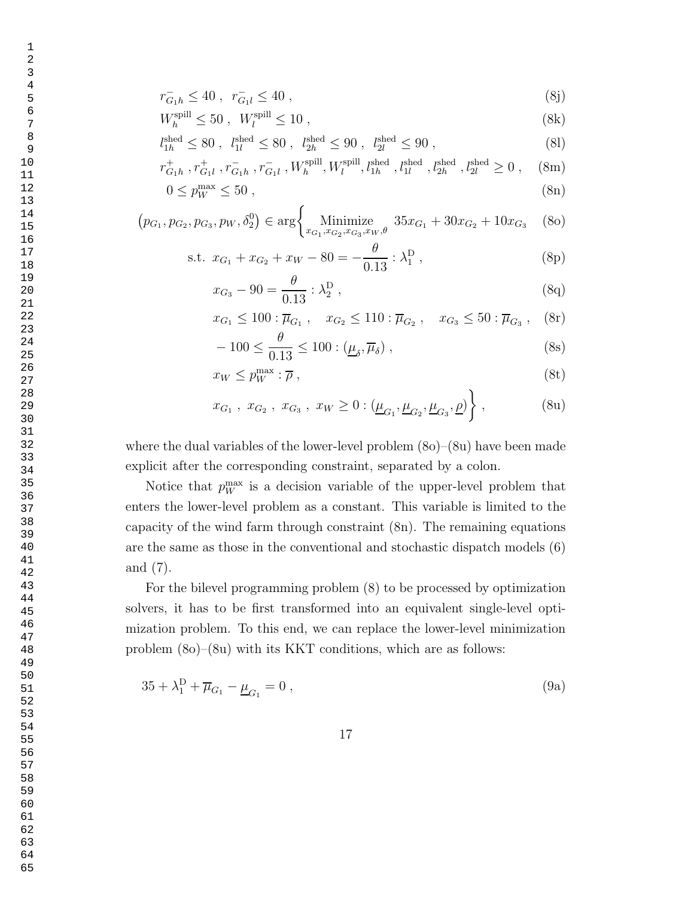$$
r_{G_1h}^- \le 40 \ , \ r_{G_1l}^- \le 40 \ , \tag{8j}
$$

$$
W_h^{\text{spill}} \le 50 \; , \; W_l^{\text{spill}} \le 10 \; , \tag{8k}
$$

$$
l_{1h}^{\text{shed}} \le 80 \; , \; l_{1l}^{\text{shed}} \le 80 \; , \; l_{2h}^{\text{shed}} \le 90 \; , \; l_{2l}^{\text{shed}} \le 90 \; , \tag{81}
$$

$$
r_{G_1h}^+, r_{G_1l}^+, r_{G_1h}^-, r_{G_1l}^-, W_h^{\text{spill}}, W_l^{\text{spill}}, l_{1h}^{\text{shed}}, l_{1l}^{\text{shed}}, l_{2h}^{\text{shed}}, l_{2l}^{\text{shed}} \ge 0 , \quad \text{(8m)}
$$

$$
0 \le p_W^{\text{max}} \le 50 \tag{8n}
$$

$$
(p_{G_1}, p_{G_2}, p_{G_3}, p_W, \delta_2^0) \in \arg \left\{ \text{Minimize}_{x_{G_1}, x_{G_2}, x_{G_3}, x_W, \theta} 35x_{G_1} + 30x_{G_2} + 10x_{G_3} \quad \text{(8o)}
$$

s.t. 
$$
x_{G_1} + x_{G_2} + x_W - 80 = -\frac{\theta}{0.13} : \lambda_1^D
$$
, (8p)

$$
x_{G_3} - 90 = \frac{\theta}{0.13} : \lambda_2^D , \qquad (8q)
$$

$$
x_{G_1} \le 100 : \overline{\mu}_{G_1} , \quad x_{G_2} \le 110 : \overline{\mu}_{G_2} , \quad x_{G_3} \le 50 : \overline{\mu}_{G_3} , \quad \text{(8r)}
$$

$$
-100 \le \frac{\theta}{0.13} \le 100 : (\underline{\mu}_{\delta}, \overline{\mu}_{\delta}), \qquad (8s)
$$

$$
x_W \le p_W^{\max} : \overline{\rho} \,, \tag{8t}
$$

$$
x_{G_1}, x_{G_2}, x_{G_3}, x_W \ge 0 : (\underline{\mu}_{G_1}, \underline{\mu}_{G_2}, \underline{\mu}_{G_3}, \underline{\rho})
$$
, (8u)

where the dual variables of the lower-level problem  $(8o)$ – $(8u)$  have been made explicit after the corresponding constraint, separated by a colon.

Notice that  $p_W^{\text{max}}$  is a decision variable of the upper-level problem that enters the lower-level problem as a constant. This variable is limited to the capacity of the wind farm through constraint (8n). The remaining equations are the same as those in the conventional and stochastic dispatch models (6) and (7).

For the bilevel programming problem (8) to be processed by optimization solvers, it has to be first transformed into an equivalent single-level optimization problem. To this end, we can replace the lower-level minimization problem (8o)–(8u) with its KKT conditions, which are as follows:

$$
35 + \lambda_1^D + \overline{\mu}_{G_1} - \underline{\mu}_{G_1} = 0 , \qquad (9a)
$$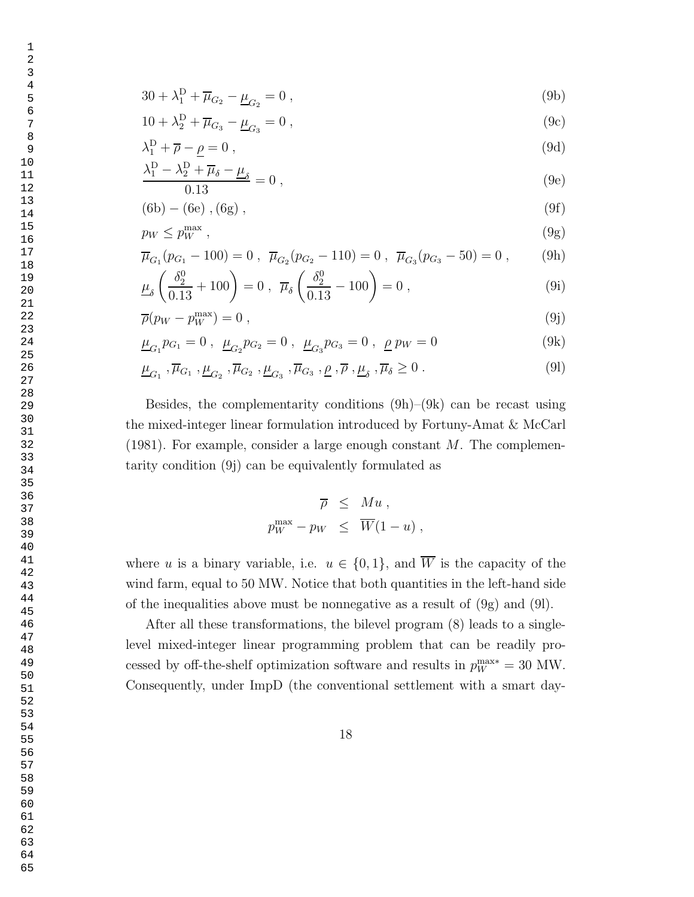$$
30 + \lambda_1^D + \overline{\mu}_{G_2} - \underline{\mu}_{G_2} = 0 , \qquad (9b)
$$

$$
10 + \lambda_2^D + \overline{\mu}_{G_3} - \underline{\mu}_{G_3} = 0 , \qquad (9c)
$$

$$
\lambda_1^{\mathcal{D}} + \overline{\rho} - \underline{\rho} = 0 \,, \tag{9d}
$$

$$
\frac{\lambda_1^D - \lambda_2^D + \overline{\mu}_{\delta} - \underline{\mu}_{\delta}}{0.13} = 0 ,
$$
\n(9e)

$$
(6b) - (6e) , (6g) , \t\t(9f)
$$

$$
p_W \le p_W^{\max} \,,\tag{9g}
$$

$$
\overline{\mu}_{G_1}(p_{G_1} - 100) = 0 , \ \overline{\mu}_{G_2}(p_{G_2} - 110) = 0 , \ \overline{\mu}_{G_3}(p_{G_3} - 50) = 0 , \qquad (9h)
$$

$$
\underline{\mu}_{\delta} \left( \frac{\delta_2^0}{0.13} + 100 \right) = 0 \ , \ \ \overline{\mu}_{\delta} \left( \frac{\delta_2^0}{0.13} - 100 \right) = 0 \ , \tag{9i}
$$

$$
\overline{\rho}(p_W - p_W^{\text{max}}) = 0 \tag{9}
$$

$$
\underline{\mu}_{G_1} p_{G_1} = 0 \ , \ \underline{\mu}_{G_2} p_{G_2} = 0 \ , \ \underline{\mu}_{G_3} p_{G_3} = 0 \ , \ \underline{\rho} \ p_W = 0 \tag{9k}
$$

$$
\underline{\mu}_{G_1}, \overline{\mu}_{G_1}, \underline{\mu}_{G_2}, \overline{\mu}_{G_2}, \underline{\mu}_{G_3}, \overline{\mu}_{G_3}, \underline{\rho}, \overline{\rho}, \underline{\mu}_{\delta}, \overline{\mu}_{\delta} \ge 0. \tag{91}
$$

Besides, the complementarity conditions  $(9h)$ – $(9k)$  can be recast using the mixed-integer linear formulation introduced by Fortuny-Amat & McCarl  $(1981)$ . For example, consider a large enough constant M. The complementarity condition (9j) can be equivalently formulated as

$$
\overline{\rho} \leq M u ,
$$
  

$$
p_W^{\max} - p_W \leq \overline{W}(1 - u) ,
$$

where u is a binary variable, i.e.  $u \in \{0,1\}$ , and  $\overline{W}$  is the capacity of the wind farm, equal to 50 MW. Notice that both quantities in the left-hand side of the inequalities above must be nonnegative as a result of (9g) and (9l).

After all these transformations, the bilevel program (8) leads to a singlelevel mixed-integer linear programming problem that can be readily processed by off-the-shelf optimization software and results in  $p_W^{\text{max}*} = 30 \text{ MW}$ . Consequently, under ImpD (the conventional settlement with a smart day-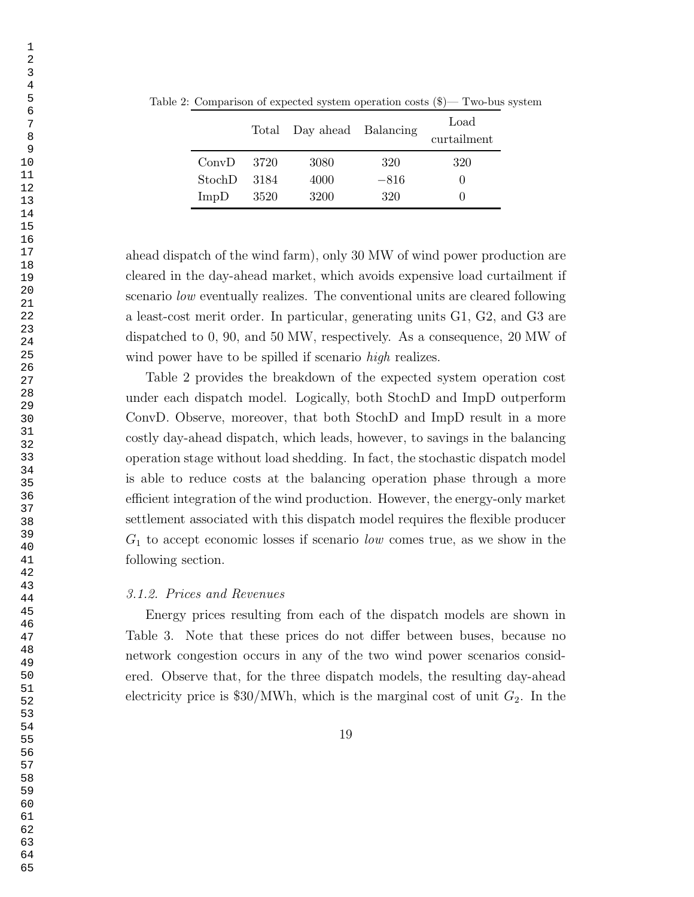|        |      | Total Day ahead Balancing |        | Load<br>curtailment |
|--------|------|---------------------------|--------|---------------------|
| ConvD  | 3720 | 3080                      | 320    | 320                 |
| StochD | 3184 | 4000                      | $-816$ |                     |
| ImpD   | 3520 | 3200                      | 320    |                     |

Table 2: Comparison of expected system operation costs (\$)— Two-bus system

ahead dispatch of the wind farm), only 30 MW of wind power production are cleared in the day-ahead market, which avoids expensive load curtailment if scenario low eventually realizes. The conventional units are cleared following a least-cost merit order. In particular, generating units G1, G2, and G3 are dispatched to 0, 90, and 50 MW, respectively. As a consequence, 20 MW of wind power have to be spilled if scenario *high* realizes.

Table 2 provides the breakdown of the expected system operation cost under each dispatch model. Logically, both StochD and ImpD outperform ConvD. Observe, moreover, that both StochD and ImpD result in a more costly day-ahead dispatch, which leads, however, to savings in the balancing operation stage without load shedding. In fact, the stochastic dispatch model is able to reduce costs at the balancing operation phase through a more efficient integration of the wind production. However, the energy-only market settlement associated with this dispatch model requires the flexible producer  $G_1$  to accept economic losses if scenario low comes true, as we show in the following section.

# 3.1.2. Prices and Revenues

Energy prices resulting from each of the dispatch models are shown in Table 3. Note that these prices do not differ between buses, because no network congestion occurs in any of the two wind power scenarios considered. Observe that, for the three dispatch models, the resulting day-ahead electricity price is  $$30/MWh$ , which is the marginal cost of unit  $G_2$ . In the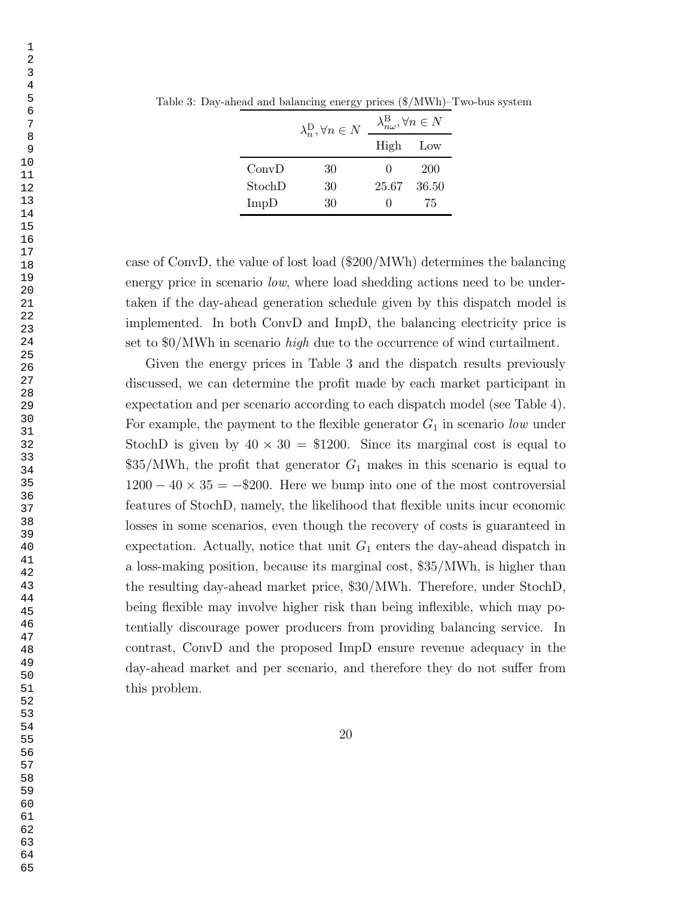|        | ື                                    |                                                 |       |
|--------|--------------------------------------|-------------------------------------------------|-------|
|        | $\lambda_n^{\rm D}, \forall n \in N$ | $\lambda_{n\omega}^\mathrm{B}, \forall n \in N$ |       |
|        |                                      | High                                            | Low   |
| ConvD  | 30                                   | $\theta$                                        | 200   |
| StochD | 30                                   | 25.67                                           | 36.50 |
| ImpD   | 30                                   |                                                 | 75    |

Table 3: Day-ahead and balancing energy prices (\$/MWh)–Two-bus system

case of ConvD, the value of lost load (\$200/MWh) determines the balancing energy price in scenario *low*, where load shedding actions need to be undertaken if the day-ahead generation schedule given by this dispatch model is implemented. In both ConvD and ImpD, the balancing electricity price is set to \$0/MWh in scenario high due to the occurrence of wind curtailment.

Given the energy prices in Table 3 and the dispatch results previously discussed, we can determine the profit made by each market participant in expectation and per scenario according to each dispatch model (see Table 4). For example, the payment to the flexible generator  $G_1$  in scenario low under StochD is given by  $40 \times 30 = $1200$ . Since its marginal cost is equal to  $$35/MWh$ , the profit that generator  $G_1$  makes in this scenario is equal to  $1200 - 40 \times 35 = -200$ . Here we bump into one of the most controversial features of StochD, namely, the likelihood that flexible units incur economic losses in some scenarios, even though the recovery of costs is guaranteed in expectation. Actually, notice that unit  $G_1$  enters the day-ahead dispatch in a loss-making position, because its marginal cost, \$35/MWh, is higher than the resulting day-ahead market price, \$30/MWh. Therefore, under StochD, being flexible may involve higher risk than being inflexible, which may potentially discourage power producers from providing balancing service. In contrast, ConvD and the proposed ImpD ensure revenue adequacy in the day-ahead market and per scenario, and therefore they do not suffer from this problem.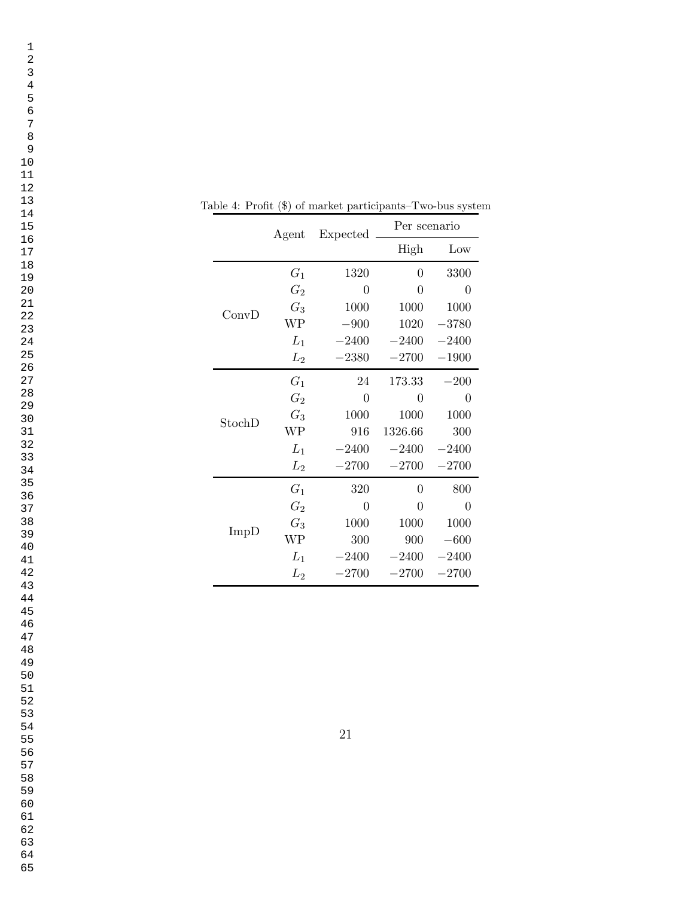|        | Agent         | Expected | Per scenario |          |
|--------|---------------|----------|--------------|----------|
|        |               |          | High         | Low      |
|        | $G_1$         | 1320     | 0            | 3300     |
|        | $G_2$         | $\Omega$ | $\theta$     | 0        |
| ConvD  | $G_3$         | 1000     | 1000         | 1000     |
|        | WP            | $-900$   | 1020         | $-3780$  |
|        | $L_1$         | $-2400$  | $-2400$      | $-2400$  |
|        | $L_2$         | $-2380$  | $-2700$      | $-1900$  |
|        | $G_1$         | 24       | 173.33       | $-200$   |
|        | $\, G_{2} \,$ | 0        | 0            | $\Omega$ |
| StochD | $G_3$         | 1000     | 1000         | 1000     |
|        | WP            | 916      | 1326.66      | 300      |
|        | $L_1$         | $-2400$  | $-2400$      | $-2400$  |
|        | $L_{2}$       | $-2700$  | $-2700$      | $-2700$  |
| ImpD   | $G_1$         | 320      | $\theta$     | 800      |
|        | $\, G_{2} \,$ | $\Omega$ | $\Omega$     | $\Omega$ |
|        | $G_3$         | 1000     | 1000         | 1000     |
|        | WP            | 300      | 900          | $-600$   |
|        | $L_1$         | $-2400$  | $-2400$      | $-2400$  |
|        | $L_2$         | $-2700$  | $-2700$      | $-2700$  |

Table 4: Profit (\$) of market participants–Two-bus system

- 
- 
- 
-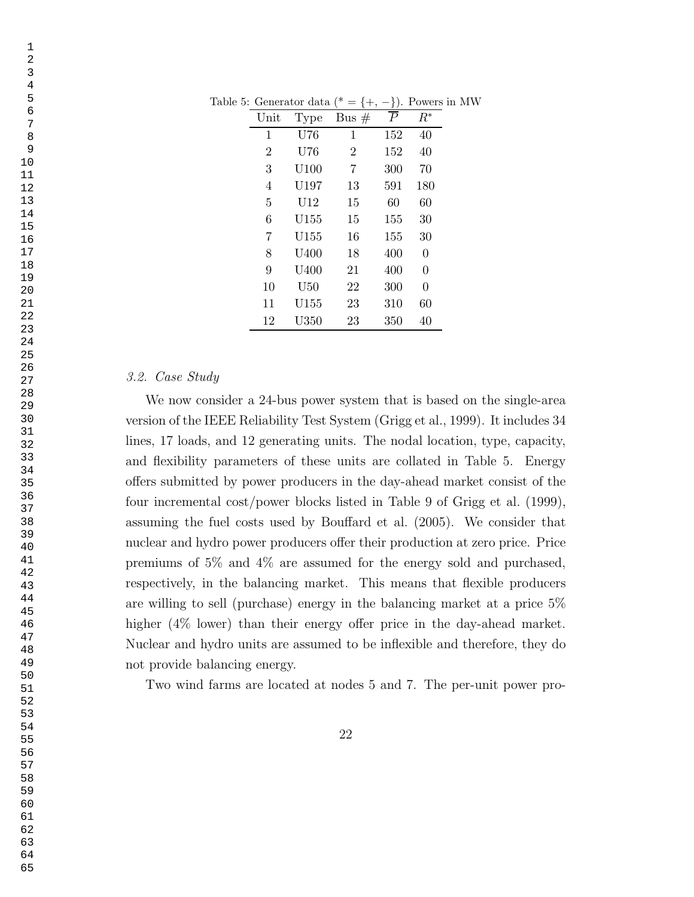| $\operatorname{Unit}$ | Type               | Bus $#$        | $\boldsymbol{P}$ | $R^*$    |
|-----------------------|--------------------|----------------|------------------|----------|
| 1                     | U76                | 1              | 152              | 40       |
| $\overline{2}$        | U76                | $\overline{2}$ | 152              | 40       |
| 3                     | U100               | 7              | 300              | 70       |
| 4                     | U197               | 13             | 591              | 180      |
| 5                     | $\mathrm{U}12$     | 15             | 60               | 60       |
| 6                     | U155               | 15             | 155              | 30       |
| 7                     | $\rm U155$         | 16             | 155              | 30       |
| 8                     | U400               | 18             | 400              | $\Omega$ |
| 9                     | U400               | 21             | 400              | $\theta$ |
| 10                    | U50                | 22             | 300              | $\theta$ |
| 11                    | U155               | 23             | 310              | 60       |
| 12                    | $_{\mathrm{U350}}$ | 23             | 350              | 40       |

Table 5: Generator data (\* = {+, -}). Powers in MW

# 3.2. Case Study

We now consider a 24-bus power system that is based on the single-area version of the IEEE Reliability Test System (Grigg et al., 1999). It includes 34 lines, 17 loads, and 12 generating units. The nodal location, type, capacity, and flexibility parameters of these units are collated in Table 5. Energy offers submitted by power producers in the day-ahead market consist of the four incremental cost/power blocks listed in Table 9 of Grigg et al. (1999), assuming the fuel costs used by Bouffard et al. (2005). We consider that nuclear and hydro power producers offer their production at zero price. Price premiums of 5% and 4% are assumed for the energy sold and purchased, respectively, in the balancing market. This means that flexible producers are willing to sell (purchase) energy in the balancing market at a price 5% higher (4\% lower) than their energy offer price in the day-ahead market. Nuclear and hydro units are assumed to be inflexible and therefore, they do not provide balancing energy.

Two wind farms are located at nodes 5 and 7. The per-unit power pro-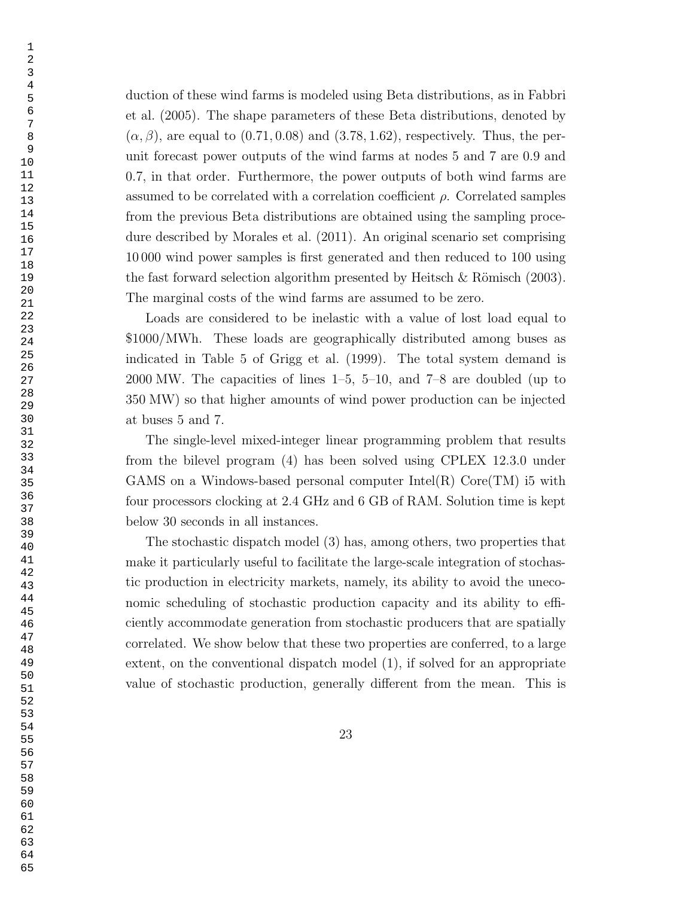duction of these wind farms is modeled using Beta distributions, as in Fabbri et al. (2005). The shape parameters of these Beta distributions, denoted by  $(\alpha, \beta)$ , are equal to  $(0.71, 0.08)$  and  $(3.78, 1.62)$ , respectively. Thus, the perunit forecast power outputs of the wind farms at nodes 5 and 7 are 0.9 and 0.7, in that order. Furthermore, the power outputs of both wind farms are assumed to be correlated with a correlation coefficient  $\rho$ . Correlated samples from the previous Beta distributions are obtained using the sampling procedure described by Morales et al. (2011). An original scenario set comprising 10 000 wind power samples is first generated and then reduced to 100 using the fast forward selection algorithm presented by Heitsch  $\&$  Römisch (2003). The marginal costs of the wind farms are assumed to be zero.

Loads are considered to be inelastic with a value of lost load equal to \$1000/MWh. These loads are geographically distributed among buses as indicated in Table 5 of Grigg et al. (1999). The total system demand is 2000 MW. The capacities of lines 1–5, 5–10, and 7–8 are doubled (up to 350 MW) so that higher amounts of wind power production can be injected at buses 5 and 7.

The single-level mixed-integer linear programming problem that results from the bilevel program (4) has been solved using CPLEX 12.3.0 under GAMS on a Windows-based personal computer Intel $(R)$  Core $(TM)$  is with four processors clocking at 2.4 GHz and 6 GB of RAM. Solution time is kept below 30 seconds in all instances.

The stochastic dispatch model (3) has, among others, two properties that make it particularly useful to facilitate the large-scale integration of stochastic production in electricity markets, namely, its ability to avoid the uneconomic scheduling of stochastic production capacity and its ability to efficiently accommodate generation from stochastic producers that are spatially correlated. We show below that these two properties are conferred, to a large extent, on the conventional dispatch model (1), if solved for an appropriate value of stochastic production, generally different from the mean. This is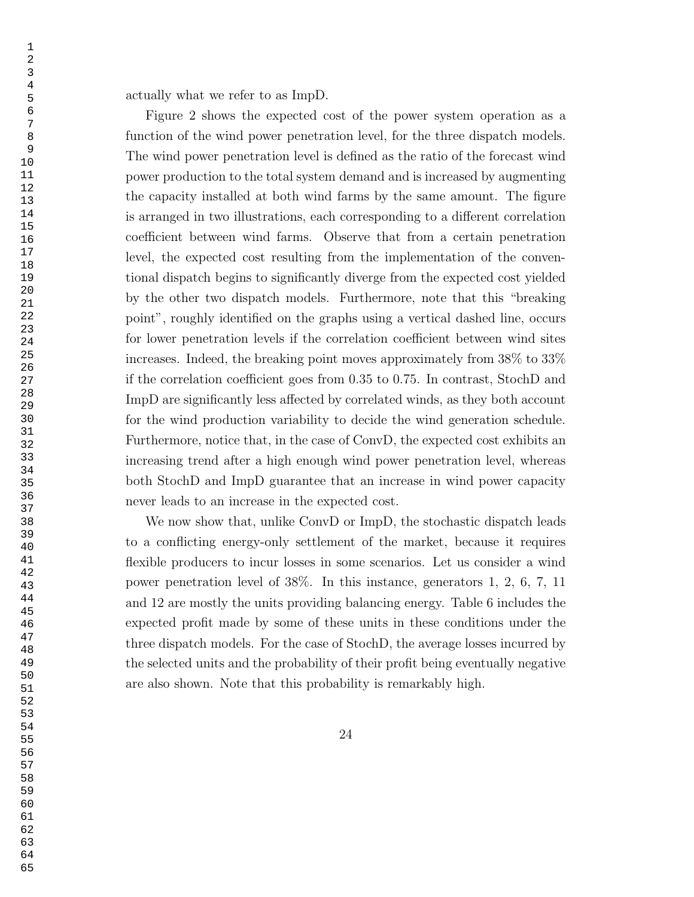actually what we refer to as ImpD.

Figure 2 shows the expected cost of the power system operation as a function of the wind power penetration level, for the three dispatch models. The wind power penetration level is defined as the ratio of the forecast wind power production to the total system demand and is increased by augmenting the capacity installed at both wind farms by the same amount. The figure is arranged in two illustrations, each corresponding to a different correlation coefficient between wind farms. Observe that from a certain penetration level, the expected cost resulting from the implementation of the conventional dispatch begins to significantly diverge from the expected cost yielded by the other two dispatch models. Furthermore, note that this "breaking point", roughly identified on the graphs using a vertical dashed line, occurs for lower penetration levels if the correlation coefficient between wind sites increases. Indeed, the breaking point moves approximately from 38% to 33% if the correlation coefficient goes from 0.35 to 0.75. In contrast, StochD and ImpD are significantly less affected by correlated winds, as they both account for the wind production variability to decide the wind generation schedule. Furthermore, notice that, in the case of ConvD, the expected cost exhibits an increasing trend after a high enough wind power penetration level, whereas both StochD and ImpD guarantee that an increase in wind power capacity never leads to an increase in the expected cost.

We now show that, unlike ConvD or ImpD, the stochastic dispatch leads to a conflicting energy-only settlement of the market, because it requires flexible producers to incur losses in some scenarios. Let us consider a wind power penetration level of 38%. In this instance, generators 1, 2, 6, 7, 11 and 12 are mostly the units providing balancing energy. Table 6 includes the expected profit made by some of these units in these conditions under the three dispatch models. For the case of StochD, the average losses incurred by the selected units and the probability of their profit being eventually negative are also shown. Note that this probability is remarkably high.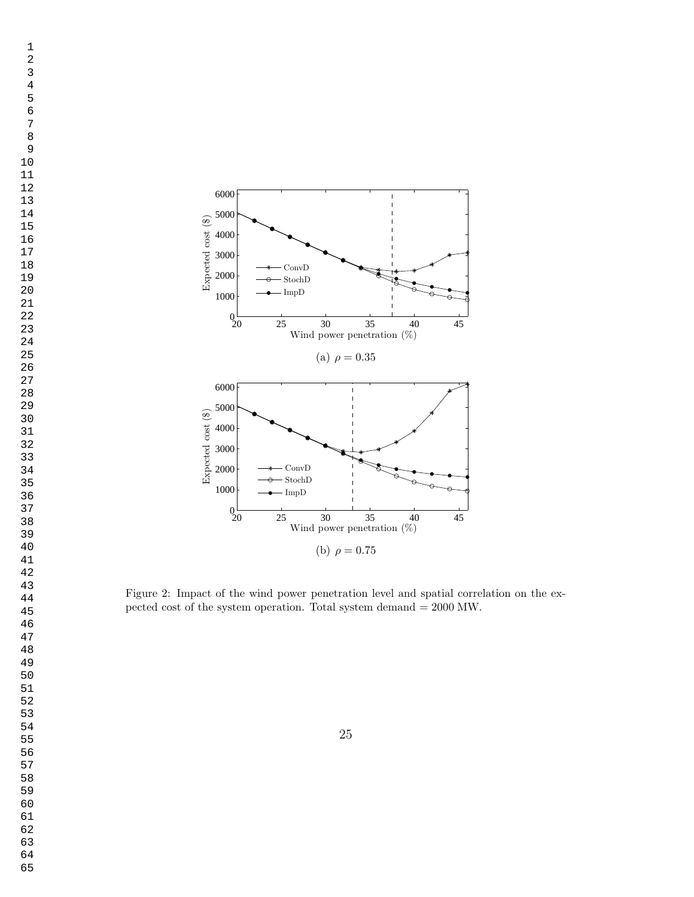

Figure 2: Impact of the wind power penetration level and spatial correlation on the expected cost of the system operation. Total system demand = 2000 MW.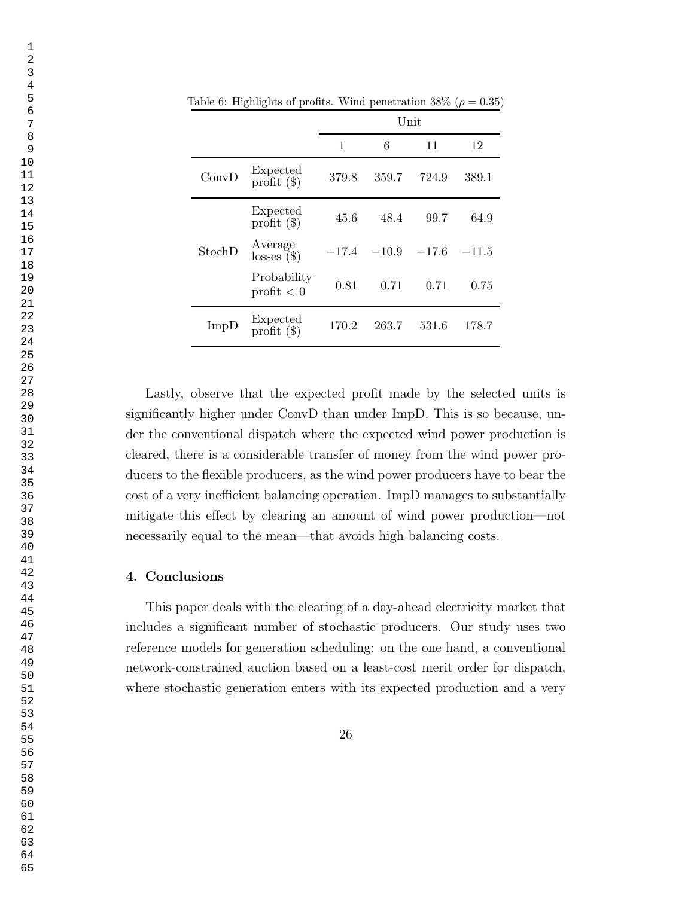|        |                             | Unit    |         |         |         |
|--------|-----------------------------|---------|---------|---------|---------|
|        |                             | 1       | 6       | 11      | 12      |
| ConvD  | Expected<br>profit $(\$)$   | 379.8   | 359.7   | 724.9   | 389.1   |
| StochD | Expected<br>profit $(\$)$   | 45.6    | 48.4    | 99.7    | 64.9    |
|        | Average<br>losses $($       | $-17.4$ | $-10.9$ | $-17.6$ | $-11.5$ |
|        | Probability<br>profit $< 0$ | 0.81    | 0.71    | 0.71    | 0.75    |
| ImpD   | Expected<br>profit $(\$)$   | 170.2   | 263.7   | 531.6   | 178.7   |

Table 6: Highlights of profits. Wind penetration  $38\%$  ( $\rho = 0.35$ )

Lastly, observe that the expected profit made by the selected units is significantly higher under ConvD than under ImpD. This is so because, under the conventional dispatch where the expected wind power production is cleared, there is a considerable transfer of money from the wind power producers to the flexible producers, as the wind power producers have to bear the cost of a very inefficient balancing operation. ImpD manages to substantially mitigate this effect by clearing an amount of wind power production—not necessarily equal to the mean—that avoids high balancing costs.

# 4. Conclusions

This paper deals with the clearing of a day-ahead electricity market that includes a significant number of stochastic producers. Our study uses two reference models for generation scheduling: on the one hand, a conventional network-constrained auction based on a least-cost merit order for dispatch, where stochastic generation enters with its expected production and a very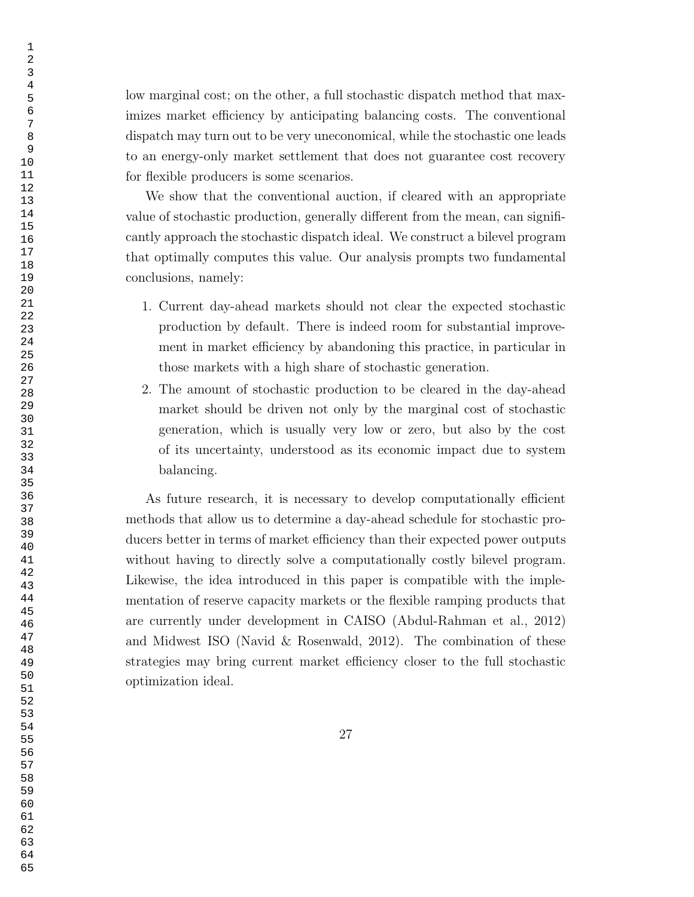low marginal cost; on the other, a full stochastic dispatch method that maximizes market efficiency by anticipating balancing costs. The conventional dispatch may turn out to be very uneconomical, while the stochastic one leads to an energy-only market settlement that does not guarantee cost recovery for flexible producers is some scenarios.

We show that the conventional auction, if cleared with an appropriate value of stochastic production, generally different from the mean, can significantly approach the stochastic dispatch ideal. We construct a bilevel program that optimally computes this value. Our analysis prompts two fundamental conclusions, namely:

- 1. Current day-ahead markets should not clear the expected stochastic production by default. There is indeed room for substantial improvement in market efficiency by abandoning this practice, in particular in those markets with a high share of stochastic generation.
- 2. The amount of stochastic production to be cleared in the day-ahead market should be driven not only by the marginal cost of stochastic generation, which is usually very low or zero, but also by the cost of its uncertainty, understood as its economic impact due to system balancing.

As future research, it is necessary to develop computationally efficient methods that allow us to determine a day-ahead schedule for stochastic producers better in terms of market efficiency than their expected power outputs without having to directly solve a computationally costly bilevel program. Likewise, the idea introduced in this paper is compatible with the implementation of reserve capacity markets or the flexible ramping products that are currently under development in CAISO (Abdul-Rahman et al., 2012) and Midwest ISO (Navid & Rosenwald, 2012). The combination of these strategies may bring current market efficiency closer to the full stochastic optimization ideal.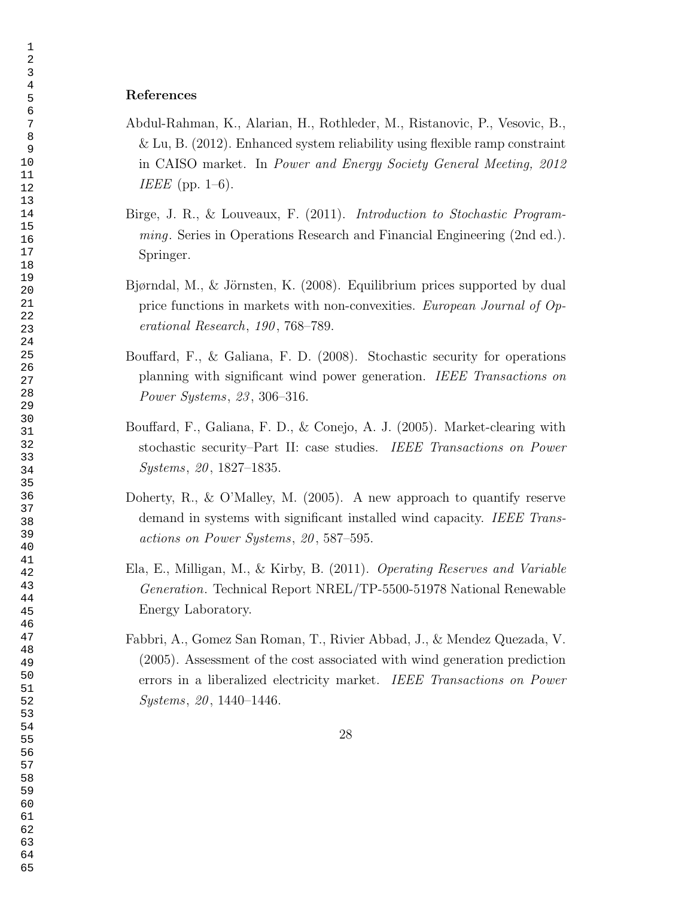# References

- Abdul-Rahman, K., Alarian, H., Rothleder, M., Ristanovic, P., Vesovic, B., & Lu, B. (2012). Enhanced system reliability using flexible ramp constraint in CAISO market. In Power and Energy Society General Meeting, 2012 IEEE (pp.  $1-6$ ).
- Birge, J. R., & Louveaux, F. (2011). Introduction to Stochastic Programming. Series in Operations Research and Financial Engineering (2nd ed.). Springer.
- Bjørndal, M., & Jörnsten, K. (2008). Equilibrium prices supported by dual price functions in markets with non-convexities. European Journal of Operational Research, 190, 768-789.
- Bouffard, F., & Galiana, F. D. (2008). Stochastic security for operations planning with significant wind power generation. IEEE Transactions on Power Systems, 23 , 306–316.
- Bouffard, F., Galiana, F. D., & Conejo, A. J. (2005). Market-clearing with stochastic security–Part II: case studies. IEEE Transactions on Power Systems, 20, 1827–1835.
- Doherty, R., & O'Malley, M. (2005). A new approach to quantify reserve demand in systems with significant installed wind capacity. IEEE Transactions on Power Systems, 20 , 587–595.
- Ela, E., Milligan, M., & Kirby, B. (2011). Operating Reserves and Variable Generation. Technical Report NREL/TP-5500-51978 National Renewable Energy Laboratory.
- Fabbri, A., Gomez San Roman, T., Rivier Abbad, J., & Mendez Quezada, V. (2005). Assessment of the cost associated with wind generation prediction errors in a liberalized electricity market. IEEE Transactions on Power Systems, 20, 1440–1446.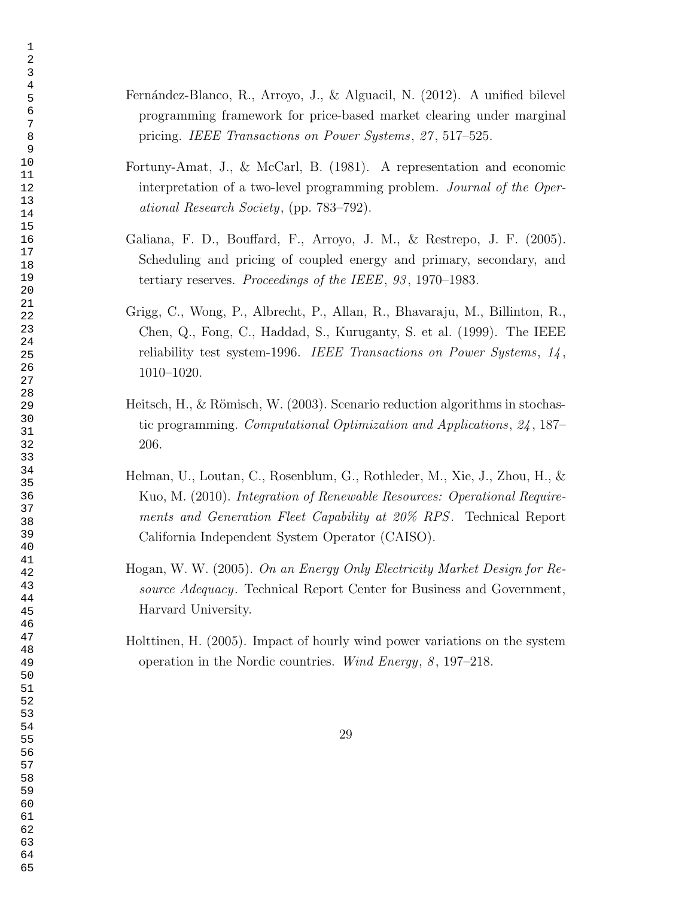- Fernández-Blanco, R., Arroyo, J., & Alguacil, N. (2012). A unified bilevel programming framework for price-based market clearing under marginal pricing. IEEE Transactions on Power Systems, 27 , 517–525.
- Fortuny-Amat, J., & McCarl, B. (1981). A representation and economic interpretation of a two-level programming problem. Journal of the Operational Research Society, (pp. 783–792).
- Galiana, F. D., Bouffard, F., Arroyo, J. M., & Restrepo, J. F. (2005). Scheduling and pricing of coupled energy and primary, secondary, and tertiary reserves. Proceedings of the IEEE, 93, 1970–1983.
- Grigg, C., Wong, P., Albrecht, P., Allan, R., Bhavaraju, M., Billinton, R., Chen, Q., Fong, C., Haddad, S., Kuruganty, S. et al. (1999). The IEEE reliability test system-1996. IEEE Transactions on Power Systems, , 1010–1020.
- Heitsch, H., & Römisch, W. (2003). Scenario reduction algorithms in stochastic programming. Computational Optimization and Applications, 24 , 187– 206.
- Helman, U., Loutan, C., Rosenblum, G., Rothleder, M., Xie, J., Zhou, H., & Kuo, M. (2010). Integration of Renewable Resources: Operational Requirements and Generation Fleet Capability at 20% RPS. Technical Report California Independent System Operator (CAISO).
- Hogan, W. W. (2005). On an Energy Only Electricity Market Design for Resource Adequacy. Technical Report Center for Business and Government, Harvard University.
- Holttinen, H. (2005). Impact of hourly wind power variations on the system operation in the Nordic countries. Wind Energy, , 197–218.